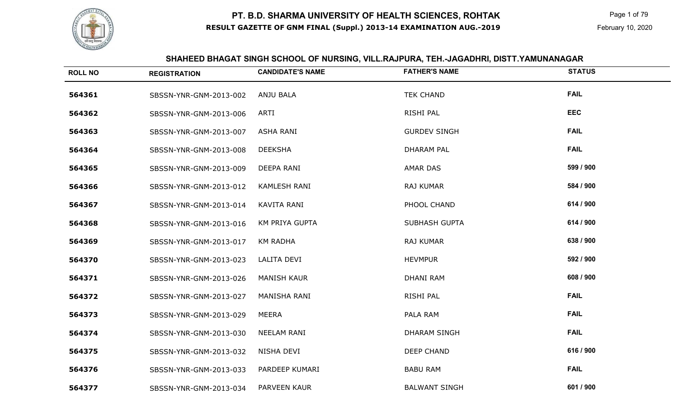

 Page 1 of 79 February 10, 2020

#### **SHAHEED BHAGAT SINGH SCHOOL OF NURSING, VILL.RAJPURA, TEH.-JAGADHRI, DISTT.YAMUNANAGAR**

| <b>ROLL NO</b> | <b>REGISTRATION</b>    | <b>CANDIDATE'S NAME</b> | <b>FATHER'S NAME</b> | <b>STATUS</b> |
|----------------|------------------------|-------------------------|----------------------|---------------|
| 564361         | SBSSN-YNR-GNM-2013-002 | <b>ANJU BALA</b>        | <b>TEK CHAND</b>     | <b>FAIL</b>   |
| 564362         | SBSSN-YNR-GNM-2013-006 | ARTI                    | RISHI PAL            | <b>EEC</b>    |
| 564363         | SBSSN-YNR-GNM-2013-007 | <b>ASHA RANI</b>        | <b>GURDEV SINGH</b>  | <b>FAIL</b>   |
| 564364         | SBSSN-YNR-GNM-2013-008 | <b>DEEKSHA</b>          | <b>DHARAM PAL</b>    | <b>FAIL</b>   |
| 564365         | SBSSN-YNR-GNM-2013-009 | DEEPA RANI              | <b>AMAR DAS</b>      | 599 / 900     |
| 564366         | SBSSN-YNR-GNM-2013-012 | <b>KAMLESH RANI</b>     | RAJ KUMAR            | 584 / 900     |
| 564367         | SBSSN-YNR-GNM-2013-014 | KAVITA RANI             | PHOOL CHAND          | 614 / 900     |
| 564368         | SBSSN-YNR-GNM-2013-016 | KM PRIYA GUPTA          | <b>SUBHASH GUPTA</b> | 614 / 900     |
| 564369         | SBSSN-YNR-GNM-2013-017 | <b>KM RADHA</b>         | RAJ KUMAR            | 638 / 900     |
| 564370         | SBSSN-YNR-GNM-2013-023 | LALITA DEVI             | <b>HEVMPUR</b>       | 592 / 900     |
| 564371         | SBSSN-YNR-GNM-2013-026 | <b>MANISH KAUR</b>      | <b>DHANI RAM</b>     | 608 / 900     |
| 564372         | SBSSN-YNR-GNM-2013-027 | MANISHA RANI            | RISHI PAL            | <b>FAIL</b>   |
| 564373         | SBSSN-YNR-GNM-2013-029 | <b>MEERA</b>            | PALA RAM             | <b>FAIL</b>   |
| 564374         | SBSSN-YNR-GNM-2013-030 | <b>NEELAM RANI</b>      | <b>DHARAM SINGH</b>  | <b>FAIL</b>   |
| 564375         | SBSSN-YNR-GNM-2013-032 | NISHA DEVI              | <b>DEEP CHAND</b>    | 616 / 900     |
| 564376         | SBSSN-YNR-GNM-2013-033 | PARDEEP KUMARI          | <b>BABU RAM</b>      | <b>FAIL</b>   |
| 564377         | SBSSN-YNR-GNM-2013-034 | PARVEEN KAUR            | <b>BALWANT SINGH</b> | 601 / 900     |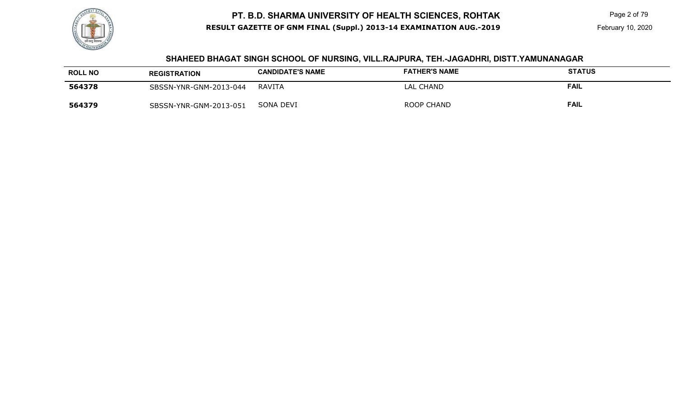

Page 2 of 79

#### **SHAHEED BHAGAT SINGH SCHOOL OF NURSING, VILL.RAJPURA, TEH.-JAGADHRI, DISTT.YAMUNANAGAR**

| <b>ROLL NO</b> | <b>REGISTRATION</b>    | <b>CANDIDATE'S NAME</b> | <b>FATHER'S NAME</b> | <b>STATUS</b> |
|----------------|------------------------|-------------------------|----------------------|---------------|
| 564378         | SBSSN-YNR-GNM-2013-044 | RAVITA                  | LAL CHAND            | FAIL          |
| 564379         | SBSSN-YNR-GNM-2013-051 | SONA DEVI               | ROOP CHAND           | FAIL          |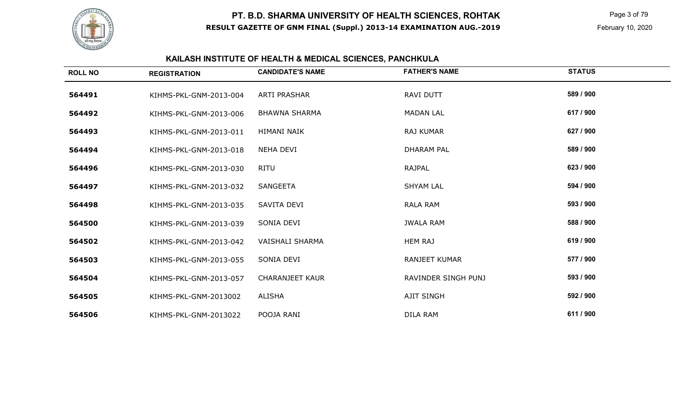

 Page 3 of 79 February 10, 2020

# **KAILASH INSTITUTE OF HEALTH & MEDICAL SCIENCES, PANCHKULA**

| <b>ROLL NO</b> | <b>REGISTRATION</b>    | <b>CANDIDATE'S NAME</b> | <b>FATHER'S NAME</b> | <b>STATUS</b> |
|----------------|------------------------|-------------------------|----------------------|---------------|
| 564491         | KIHMS-PKL-GNM-2013-004 | <b>ARTI PRASHAR</b>     | RAVI DUTT            | 589 / 900     |
| 564492         | KIHMS-PKL-GNM-2013-006 | <b>BHAWNA SHARMA</b>    | <b>MADAN LAL</b>     | 617 / 900     |
| 564493         | KIHMS-PKL-GNM-2013-011 | HIMANI NAIK             | <b>RAJ KUMAR</b>     | 627 / 900     |
| 564494         | KIHMS-PKL-GNM-2013-018 | <b>NEHA DEVI</b>        | <b>DHARAM PAL</b>    | 589 / 900     |
| 564496         | KIHMS-PKL-GNM-2013-030 | RITU                    | <b>RAJPAL</b>        | 623 / 900     |
| 564497         | KIHMS-PKL-GNM-2013-032 | <b>SANGEETA</b>         | <b>SHYAM LAL</b>     | 594 / 900     |
| 564498         | KIHMS-PKL-GNM-2013-035 | SAVITA DEVI             | <b>RALA RAM</b>      | 593 / 900     |
| 564500         | KIHMS-PKL-GNM-2013-039 | SONIA DEVI              | <b>JWALA RAM</b>     | 588 / 900     |
| 564502         | KIHMS-PKL-GNM-2013-042 | <b>VAISHALI SHARMA</b>  | <b>HEM RAJ</b>       | 619 / 900     |
| 564503         | KIHMS-PKL-GNM-2013-055 | SONIA DEVI              | <b>RANJEET KUMAR</b> | 577 / 900     |
| 564504         | KIHMS-PKL-GNM-2013-057 | <b>CHARANJEET KAUR</b>  | RAVINDER SINGH PUNJ  | 593 / 900     |
| 564505         | KIHMS-PKL-GNM-2013002  | ALISHA                  | <b>AJIT SINGH</b>    | 592 / 900     |
| 564506         | KIHMS-PKL-GNM-2013022  | POOJA RANI              | DILA RAM             | 611 / 900     |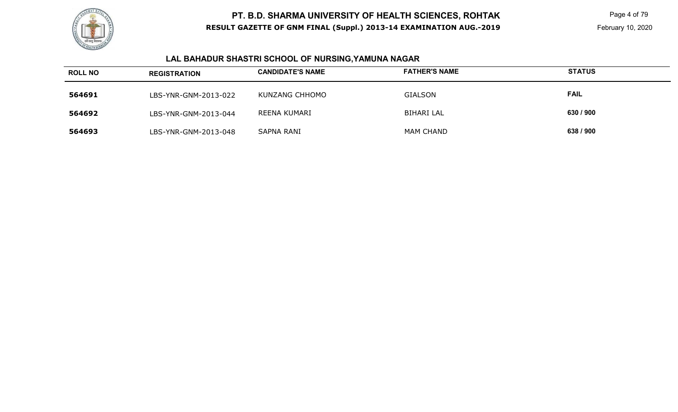

 Page 4 of 79 February 10, 2020

# **LAL BAHADUR SHASTRI SCHOOL OF NURSING,YAMUNA NAGAR**

| <b>ROLL NO</b> | <b>REGISTRATION</b>  | <b>CANDIDATE'S NAME</b> | <b>FATHER'S NAME</b> | <b>STATUS</b> |
|----------------|----------------------|-------------------------|----------------------|---------------|
| 564691         | LBS-YNR-GNM-2013-022 | KUNZANG CHHOMO          | <b>GIALSON</b>       | <b>FAIL</b>   |
| 564692         | LBS-YNR-GNM-2013-044 | REENA KUMARI            | <b>BIHARI LAL</b>    | 630 / 900     |
| 564693         | LBS-YNR-GNM-2013-048 | SAPNA RANI              | <b>MAM CHAND</b>     | 638 / 900     |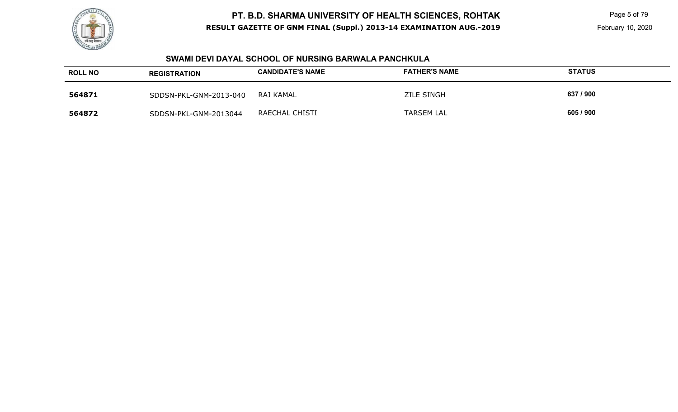

 Page 5 of 79 February 10, 2020

#### **SWAMI DEVI DAYAL SCHOOL OF NURSING BARWALA PANCHKULA**

| <b>ROLL NO</b> | <b>REGISTRATION</b>    | <b>CANDIDATE'S NAME</b> | <b>FATHER'S NAME</b> | <b>STATUS</b> |
|----------------|------------------------|-------------------------|----------------------|---------------|
| 564871         | SDDSN-PKL-GNM-2013-040 | RAJ KAMAL               | <b>ZILE SINGH</b>    | 637 / 900     |
| 564872         | SDDSN-PKL-GNM-2013044  | RAECHAL CHISTI          | <b>TARSEM LAL</b>    | 605 / 900     |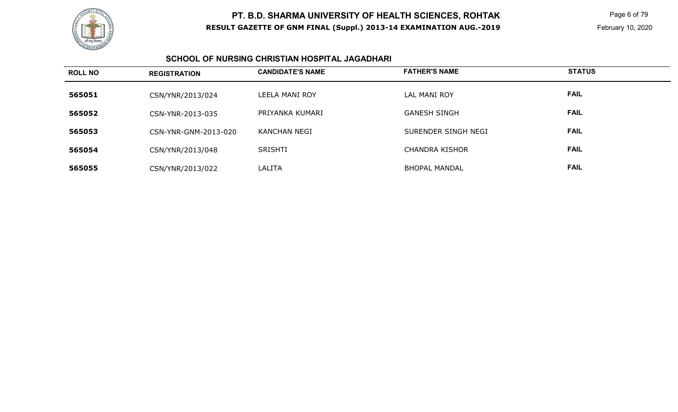

 Page 6 of 79 February 10, 2020

### **SCHOOL OF NURSING CHRISTIAN HOSPITAL JAGADHARI**

| <b>ROLL NO</b> | <b>REGISTRATION</b>  | <b>CANDIDATE'S NAME</b> | <b>FATHER'S NAME</b>  | <b>STATUS</b> |
|----------------|----------------------|-------------------------|-----------------------|---------------|
| 565051         | CSN/YNR/2013/024     | LEELA MANI ROY          | LAL MANI ROY          | <b>FAIL</b>   |
| 565052         | CSN-YNR-2013-035     | PRIYANKA KUMARI         | <b>GANESH SINGH</b>   | <b>FAIL</b>   |
| 565053         | CSN-YNR-GNM-2013-020 | <b>KANCHAN NEGI</b>     | SURENDER SINGH NEGI   | <b>FAIL</b>   |
| 565054         | CSN/YNR/2013/048     | SRISHTI                 | <b>CHANDRA KISHOR</b> | <b>FAIL</b>   |
| 565055         | CSN/YNR/2013/022     | LALITA                  | <b>BHOPAL MANDAL</b>  | <b>FAIL</b>   |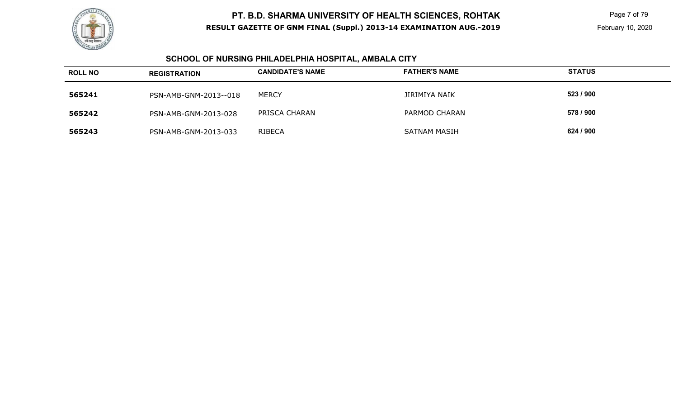

 Page 7 of 79 February 10, 2020

#### **SCHOOL OF NURSING PHILADELPHIA HOSPITAL, AMBALA CITY**

| <b>ROLL NO</b> | <b>REGISTRATION</b>   | <b>CANDIDATE'S NAME</b> | <b>FATHER'S NAME</b> | <b>STATUS</b> |
|----------------|-----------------------|-------------------------|----------------------|---------------|
| 565241         | PSN-AMB-GNM-2013--018 | <b>MERCY</b>            | JIRIMIYA NAIK        | 523 / 900     |
| 565242         | PSN-AMB-GNM-2013-028  | PRISCA CHARAN           | PARMOD CHARAN        | 578 / 900     |
| 565243         | PSN-AMB-GNM-2013-033  | <b>RIBECA</b>           | SATNAM MASIH         | 624 / 900     |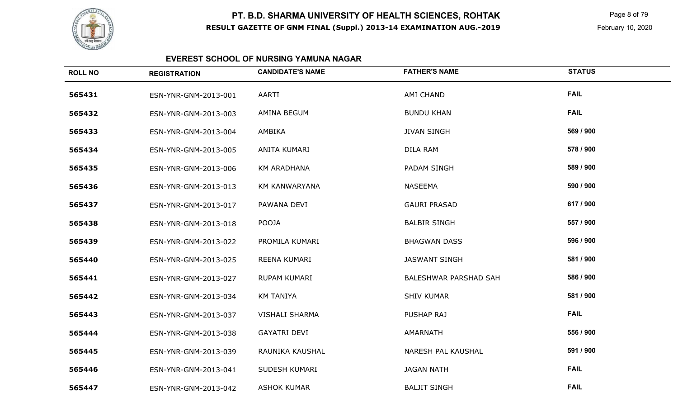

 Page 8 of 79 February 10, 2020

### **EVEREST SCHOOL OF NURSING YAMUNA NAGAR**

| <b>ROLL NO</b> | <b>REGISTRATION</b>  | <b>CANDIDATE'S NAME</b> | <b>FATHER'S NAME</b>  | <b>STATUS</b> |
|----------------|----------------------|-------------------------|-----------------------|---------------|
| 565431         | ESN-YNR-GNM-2013-001 | AARTI                   | AMI CHAND             | <b>FAIL</b>   |
| 565432         | ESN-YNR-GNM-2013-003 | AMINA BEGUM             | <b>BUNDU KHAN</b>     | <b>FAIL</b>   |
| 565433         | ESN-YNR-GNM-2013-004 | AMBIKA                  | <b>JIVAN SINGH</b>    | 569 / 900     |
| 565434         | ESN-YNR-GNM-2013-005 | ANITA KUMARI            | DILA RAM              | 578 / 900     |
| 565435         | ESN-YNR-GNM-2013-006 | <b>KM ARADHANA</b>      | PADAM SINGH           | 589 / 900     |
| 565436         | ESN-YNR-GNM-2013-013 | <b>KM KANWARYANA</b>    | <b>NASEEMA</b>        | 590 / 900     |
| 565437         | ESN-YNR-GNM-2013-017 | PAWANA DEVI             | <b>GAURI PRASAD</b>   | 617 / 900     |
| 565438         | ESN-YNR-GNM-2013-018 | <b>POOJA</b>            | <b>BALBIR SINGH</b>   | 557 / 900     |
| 565439         | ESN-YNR-GNM-2013-022 | PROMILA KUMARI          | <b>BHAGWAN DASS</b>   | 596 / 900     |
| 565440         | ESN-YNR-GNM-2013-025 | REENA KUMARI            | <b>JASWANT SINGH</b>  | 581 / 900     |
| 565441         | ESN-YNR-GNM-2013-027 | RUPAM KUMARI            | BALESHWAR PARSHAD SAH | 586 / 900     |
| 565442         | ESN-YNR-GNM-2013-034 | <b>KM TANIYA</b>        | <b>SHIV KUMAR</b>     | 581 / 900     |
| 565443         | ESN-YNR-GNM-2013-037 | <b>VISHALI SHARMA</b>   | <b>PUSHAP RAJ</b>     | <b>FAIL</b>   |
| 565444         | ESN-YNR-GNM-2013-038 | <b>GAYATRI DEVI</b>     | AMARNATH              | 556 / 900     |
| 565445         | ESN-YNR-GNM-2013-039 | RAUNIKA KAUSHAL         | NARESH PAL KAUSHAL    | 591 / 900     |
| 565446         | ESN-YNR-GNM-2013-041 | SUDESH KUMARI           | <b>JAGAN NATH</b>     | <b>FAIL</b>   |
| 565447         | ESN-YNR-GNM-2013-042 | <b>ASHOK KUMAR</b>      | <b>BALJIT SINGH</b>   | <b>FAIL</b>   |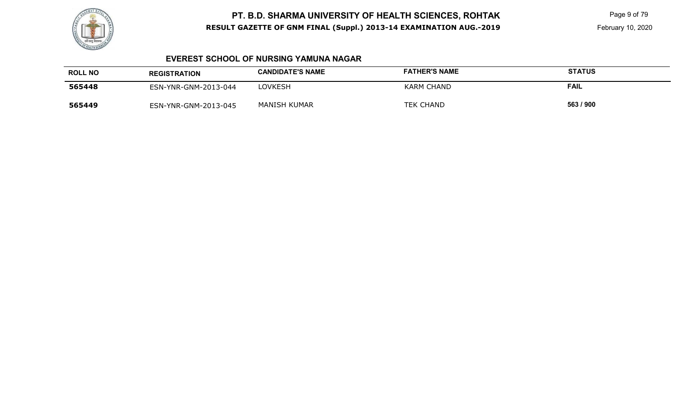

Page 9 of 79

February 10, 2020

#### **EVEREST SCHOOL OF NURSING YAMUNA NAGAR**

| <b>ROLL NO</b> | <b>REGISTRATION</b>  | <b>CANDIDATE'S NAME</b> | <b>FATHER'S NAME</b> | <b>STATUS</b> |
|----------------|----------------------|-------------------------|----------------------|---------------|
| 565448         | ESN-YNR-GNM-2013-044 | <b>LOVKESH</b>          | KARM CHAND           | <b>FAIL</b>   |
| 565449         | ESN-YNR-GNM-2013-045 | MANISH KUMAR            | <b>TEK CHAND</b>     | 563 / 900     |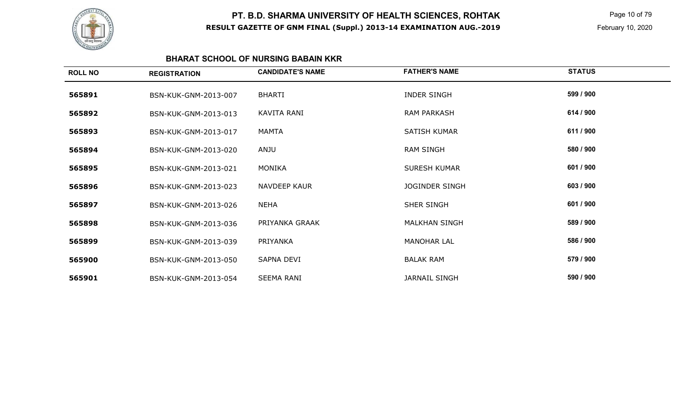

 Page 10 of 79 February 10, 2020

#### **BHARAT SCHOOL OF NURSING BABAIN KKR**

| <b>ROLL NO</b> | <b>REGISTRATION</b>  | <b>CANDIDATE'S NAME</b> | <b>FATHER'S NAME</b> | <b>STATUS</b> |
|----------------|----------------------|-------------------------|----------------------|---------------|
| 565891         | BSN-KUK-GNM-2013-007 | <b>BHARTI</b>           | <b>INDER SINGH</b>   | 599 / 900     |
| 565892         | BSN-KUK-GNM-2013-013 | KAVITA RANI             | <b>RAM PARKASH</b>   | 614 / 900     |
| 565893         | BSN-KUK-GNM-2013-017 | MAMTA                   | SATISH KUMAR         | 611 / 900     |
| 565894         | BSN-KUK-GNM-2013-020 | ANJU                    | <b>RAM SINGH</b>     | 580 / 900     |
| 565895         | BSN-KUK-GNM-2013-021 | MONIKA                  | SURESH KUMAR         | 601 / 900     |
| 565896         | BSN-KUK-GNM-2013-023 | <b>NAVDEEP KAUR</b>     | JOGINDER SINGH       | 603 / 900     |
| 565897         | BSN-KUK-GNM-2013-026 | <b>NEHA</b>             | SHER SINGH           | 601 / 900     |
| 565898         | BSN-KUK-GNM-2013-036 | PRIYANKA GRAAK          | <b>MALKHAN SINGH</b> | 589 / 900     |
| 565899         | BSN-KUK-GNM-2013-039 | PRIYANKA                | <b>MANOHAR LAL</b>   | 586 / 900     |
| 565900         | BSN-KUK-GNM-2013-050 | SAPNA DEVI              | <b>BALAK RAM</b>     | 579 / 900     |
| 565901         | BSN-KUK-GNM-2013-054 | <b>SEEMA RANI</b>       | <b>JARNAIL SINGH</b> | 590 / 900     |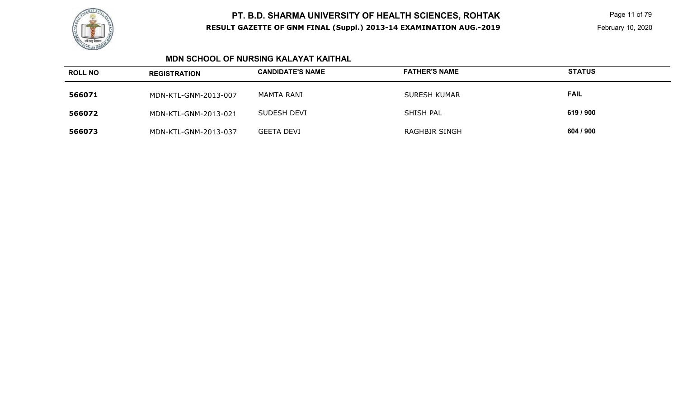

 Page 11 of 79 February 10, 2020

### **MDN SCHOOL OF NURSING KALAYAT KAITHAL**

| <b>ROLL NO</b> | <b>REGISTRATION</b>  | <b>CANDIDATE'S NAME</b> | <b>FATHER'S NAME</b> | <b>STATUS</b> |
|----------------|----------------------|-------------------------|----------------------|---------------|
| 566071         | MDN-KTL-GNM-2013-007 | MAMTA RANI              | <b>SURESH KUMAR</b>  | <b>FAIL</b>   |
| 566072         | MDN-KTL-GNM-2013-021 | SUDESH DEVI             | SHISH PAL            | 619 / 900     |
| 566073         | MDN-KTL-GNM-2013-037 | <b>GEETA DEVI</b>       | <b>RAGHBIR SINGH</b> | 604 / 900     |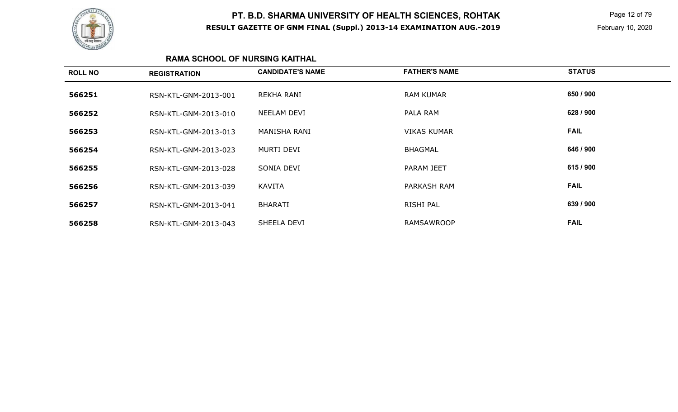

 Page 12 of 79 February 10, 2020

### **RAMA SCHOOL OF NURSING KAITHAL**

| <b>ROLL NO</b> | <b>REGISTRATION</b>  | <b>CANDIDATE'S NAME</b> | <b>FATHER'S NAME</b> | <b>STATUS</b> |
|----------------|----------------------|-------------------------|----------------------|---------------|
| 566251         | RSN-KTL-GNM-2013-001 | REKHA RANI              | <b>RAM KUMAR</b>     | 650 / 900     |
| 566252         | RSN-KTL-GNM-2013-010 | NEELAM DEVI             | PALA RAM             | 628 / 900     |
| 566253         | RSN-KTL-GNM-2013-013 | MANISHA RANI            | <b>VIKAS KUMAR</b>   | <b>FAIL</b>   |
| 566254         | RSN-KTL-GNM-2013-023 | MURTI DEVI              | <b>BHAGMAL</b>       | 646 / 900     |
| 566255         | RSN-KTL-GNM-2013-028 | SONIA DEVI              | PARAM JEET           | 615 / 900     |
| 566256         | RSN-KTL-GNM-2013-039 | KAVITA                  | PARKASH RAM          | <b>FAIL</b>   |
| 566257         | RSN-KTL-GNM-2013-041 | <b>BHARATI</b>          | RISHI PAL            | 639 / 900     |
| 566258         | RSN-KTL-GNM-2013-043 | SHEELA DEVI             | <b>RAMSAWROOP</b>    | <b>FAIL</b>   |
|                |                      |                         |                      |               |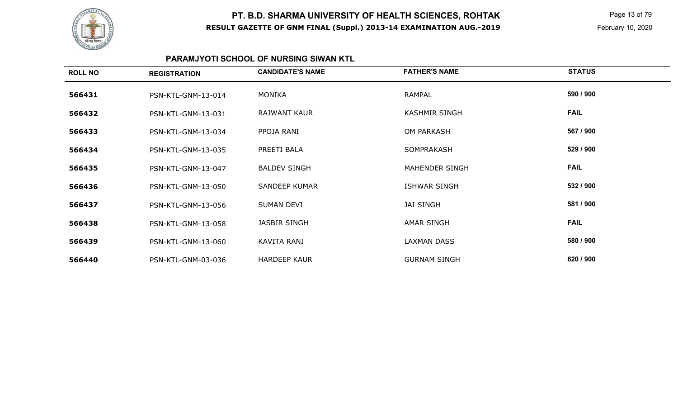

 Page 13 of 79 February 10, 2020

### **PARAMJYOTI SCHOOL OF NURSING SIWAN KTL**

| <b>ROLL NO</b> | <b>REGISTRATION</b> | <b>CANDIDATE'S NAME</b> | <b>FATHER'S NAME</b>  | <b>STATUS</b> |
|----------------|---------------------|-------------------------|-----------------------|---------------|
| 566431         | PSN-KTL-GNM-13-014  | MONIKA                  | RAMPAL                | 590 / 900     |
| 566432         | PSN-KTL-GNM-13-031  | <b>RAJWANT KAUR</b>     | <b>KASHMIR SINGH</b>  | <b>FAIL</b>   |
| 566433         | PSN-KTL-GNM-13-034  | PPOJA RANI              | <b>OM PARKASH</b>     | 567 / 900     |
| 566434         | PSN-KTL-GNM-13-035  | PREETI BALA             | SOMPRAKASH            | 529 / 900     |
| 566435         | PSN-KTL-GNM-13-047  | <b>BALDEV SINGH</b>     | <b>MAHENDER SINGH</b> | <b>FAIL</b>   |
| 566436         | PSN-KTL-GNM-13-050  | <b>SANDEEP KUMAR</b>    | <b>ISHWAR SINGH</b>   | 532 / 900     |
| 566437         | PSN-KTL-GNM-13-056  | SUMAN DEVI              | <b>JAI SINGH</b>      | 581 / 900     |
| 566438         | PSN-KTL-GNM-13-058  | <b>JASBIR SINGH</b>     | AMAR SINGH            | <b>FAIL</b>   |
| 566439         | PSN-KTL-GNM-13-060  | KAVITA RANI             | <b>LAXMAN DASS</b>    | 580 / 900     |
| 566440         | PSN-KTL-GNM-03-036  | <b>HARDEEP KAUR</b>     | <b>GURNAM SINGH</b>   | 620 / 900     |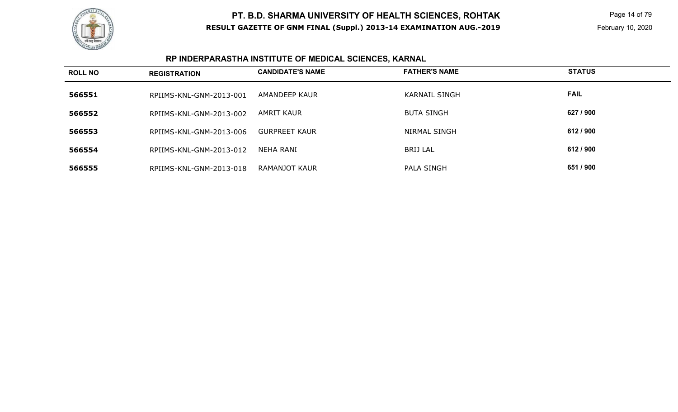

 Page 14 of 79 February 10, 2020

# **RP INDERPARASTHA INSTITUTE OF MEDICAL SCIENCES, KARNAL**

| <b>ROLL NO</b> | <b>REGISTRATION</b>     | <b>CANDIDATE'S NAME</b> | <b>FATHER'S NAME</b> | <b>STATUS</b> |
|----------------|-------------------------|-------------------------|----------------------|---------------|
| 566551         | RPIIMS-KNL-GNM-2013-001 | AMANDEEP KAUR           | <b>KARNAIL SINGH</b> | <b>FAIL</b>   |
| 566552         | RPIIMS-KNL-GNM-2013-002 | AMRIT KAUR              | <b>BUTA SINGH</b>    | 627 / 900     |
| 566553         | RPIIMS-KNL-GNM-2013-006 | <b>GURPREET KAUR</b>    | NIRMAL SINGH         | 612 / 900     |
| 566554         | RPIIMS-KNL-GNM-2013-012 | NEHA RANI               | <b>BRIJ LAL</b>      | 612 / 900     |
| 566555         | RPIIMS-KNL-GNM-2013-018 | RAMANJOT KAUR           | PALA SINGH           | 651 / 900     |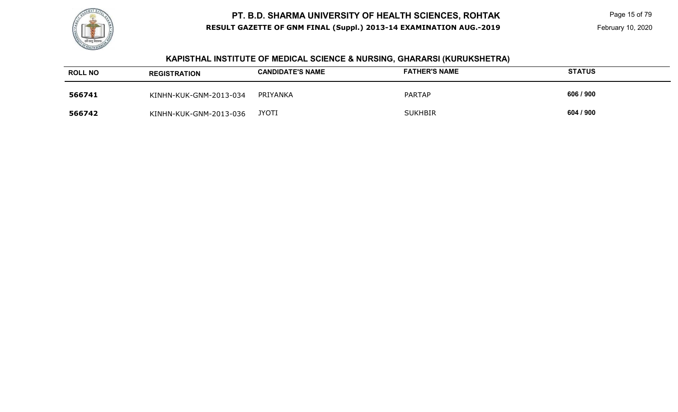

 Page 15 of 79 February 10, 2020

#### **KAPISTHAL INSTITUTE OF MEDICAL SCIENCE & NURSING, GHARARSI (KURUKSHETRA)**

| <b>ROLL NO</b> | <b>REGISTRATION</b>    | <b>CANDIDATE'S NAME</b> | <b>FATHER'S NAME</b> | <b>STATUS</b> |
|----------------|------------------------|-------------------------|----------------------|---------------|
| 566741         | KINHN-KUK-GNM-2013-034 | PRIYANKA                | <b>PARTAP</b>        | 606 / 900     |
| 566742         | KINHN-KUK-GNM-2013-036 | <b>JYOTI</b>            | <b>SUKHBIR</b>       | 604 / 900     |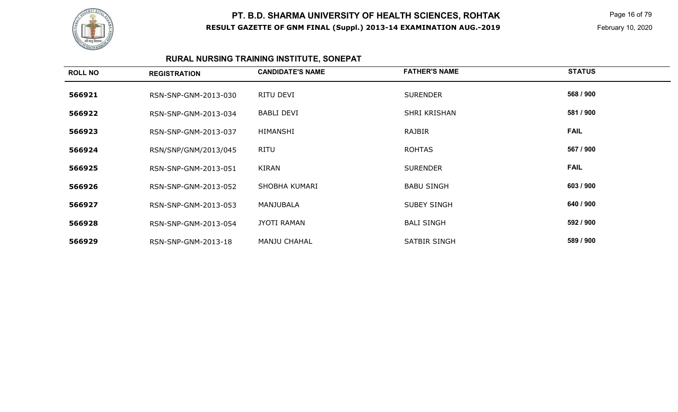

 Page 16 of 79 February 10, 2020

# **RURAL NURSING TRAINING INSTITUTE, SONEPAT**

| <b>ROLL NO</b> | <b>REGISTRATION</b>  | <b>CANDIDATE'S NAME</b> | <b>FATHER'S NAME</b> | <b>STATUS</b> |
|----------------|----------------------|-------------------------|----------------------|---------------|
| 566921         | RSN-SNP-GNM-2013-030 | RITU DEVI               | <b>SURENDER</b>      | 568 / 900     |
| 566922         | RSN-SNP-GNM-2013-034 | <b>BABLI DEVI</b>       | SHRI KRISHAN         | 581 / 900     |
| 566923         | RSN-SNP-GNM-2013-037 | HIMANSHI                | <b>RAJBIR</b>        | <b>FAIL</b>   |
| 566924         | RSN/SNP/GNM/2013/045 | <b>RITU</b>             | <b>ROHTAS</b>        | 567 / 900     |
| 566925         | RSN-SNP-GNM-2013-051 | KIRAN                   | <b>SURENDER</b>      | <b>FAIL</b>   |
| 566926         | RSN-SNP-GNM-2013-052 | SHOBHA KUMARI           | <b>BABU SINGH</b>    | 603/900       |
| 566927         | RSN-SNP-GNM-2013-053 | MANJUBALA               | <b>SUBEY SINGH</b>   | 640 / 900     |
| 566928         | RSN-SNP-GNM-2013-054 | <b>JYOTI RAMAN</b>      | <b>BALI SINGH</b>    | 592 / 900     |
| 566929         | RSN-SNP-GNM-2013-18  | <b>MANJU CHAHAL</b>     | <b>SATBIR SINGH</b>  | 589 / 900     |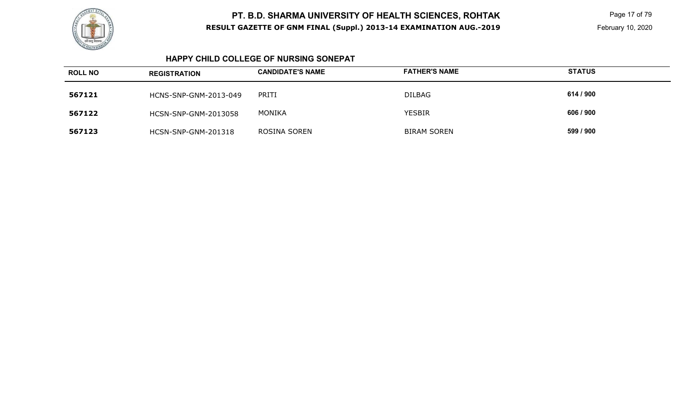

 Page 17 of 79 February 10, 2020

#### **HAPPY CHILD COLLEGE OF NURSING SONEPAT**

| <b>ROLL NO</b> | <b>REGISTRATION</b>         | <b>CANDIDATE'S NAME</b> | <b>FATHER'S NAME</b> | <b>STATUS</b> |
|----------------|-----------------------------|-------------------------|----------------------|---------------|
| 567121         | HCNS-SNP-GNM-2013-049       | PRITI                   | <b>DILBAG</b>        | 614 / 900     |
| 567122         | <b>HCSN-SNP-GNM-2013058</b> | MONIKA                  | <b>YESBIR</b>        | 606 / 900     |
| 567123         | HCSN-SNP-GNM-201318         | ROSINA SOREN            | <b>BIRAM SOREN</b>   | 599 / 900     |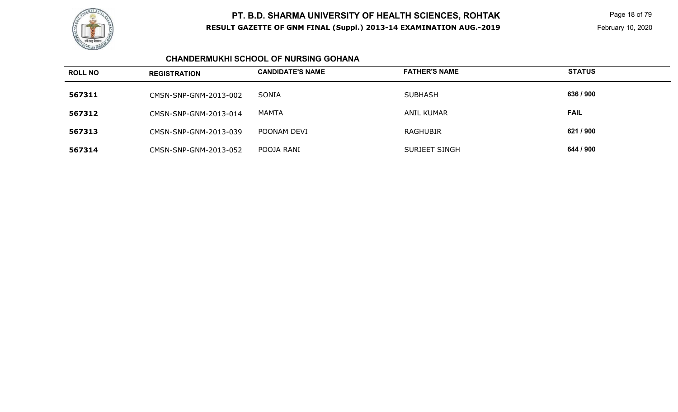

 Page 18 of 79 February 10, 2020

### **CHANDERMUKHI SCHOOL OF NURSING GOHANA**

| <b>ROLL NO</b> | <b>REGISTRATION</b>   | <b>CANDIDATE'S NAME</b> | <b>FATHER'S NAME</b> | <b>STATUS</b> |
|----------------|-----------------------|-------------------------|----------------------|---------------|
| 567311         | CMSN-SNP-GNM-2013-002 | SONIA                   | <b>SUBHASH</b>       | 636 / 900     |
| 567312         | CMSN-SNP-GNM-2013-014 | MAMTA                   | ANIL KUMAR           | <b>FAIL</b>   |
| 567313         | CMSN-SNP-GNM-2013-039 | POONAM DEVI             | <b>RAGHUBIR</b>      | 621 / 900     |
| 567314         | CMSN-SNP-GNM-2013-052 | POOJA RANI              | SURJEET SINGH        | 644 / 900     |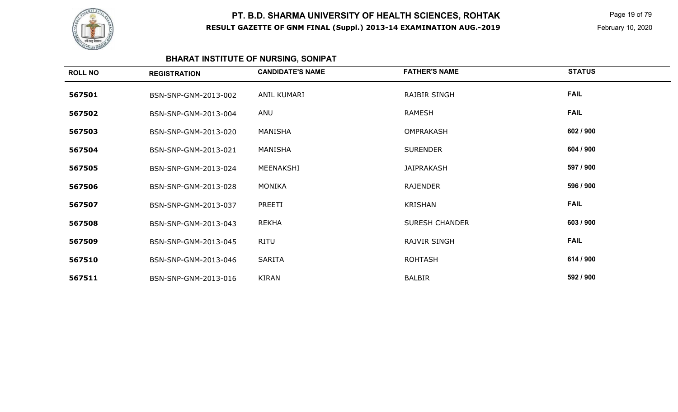

 Page 19 of 79 February 10, 2020

# **BHARAT INSTITUTE OF NURSING, SONIPAT**

| <b>ROLL NO</b> | <b>REGISTRATION</b>  | <b>CANDIDATE'S NAME</b> | <b>FATHER'S NAME</b>  | <b>STATUS</b> |
|----------------|----------------------|-------------------------|-----------------------|---------------|
| 567501         | BSN-SNP-GNM-2013-002 | ANIL KUMARI             | <b>RAJBIR SINGH</b>   | <b>FAIL</b>   |
| 567502         | BSN-SNP-GNM-2013-004 | ANU                     | <b>RAMESH</b>         | <b>FAIL</b>   |
| 567503         | BSN-SNP-GNM-2013-020 | MANISHA                 | <b>OMPRAKASH</b>      | 602 / 900     |
| 567504         | BSN-SNP-GNM-2013-021 | MANISHA                 | <b>SURENDER</b>       | 604 / 900     |
| 567505         | BSN-SNP-GNM-2013-024 | MEENAKSHI               | JAIPRAKASH            | 597 / 900     |
| 567506         | BSN-SNP-GNM-2013-028 | MONIKA                  | <b>RAJENDER</b>       | 596 / 900     |
| 567507         | BSN-SNP-GNM-2013-037 | PREETI                  | <b>KRISHAN</b>        | <b>FAIL</b>   |
| 567508         | BSN-SNP-GNM-2013-043 | <b>REKHA</b>            | <b>SURESH CHANDER</b> | 603 / 900     |
| 567509         | BSN-SNP-GNM-2013-045 | RITU                    | <b>RAJVIR SINGH</b>   | <b>FAIL</b>   |
| 567510         | BSN-SNP-GNM-2013-046 | SARITA                  | <b>ROHTASH</b>        | 614 / 900     |
| 567511         | BSN-SNP-GNM-2013-016 | <b>KIRAN</b>            | <b>BALBIR</b>         | 592 / 900     |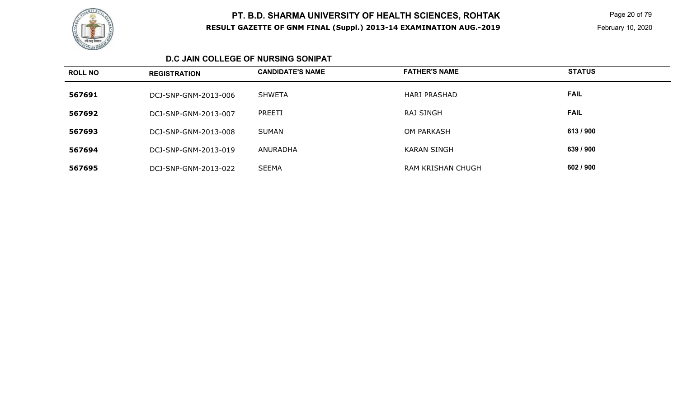

 Page 20 of 79 February 10, 2020

#### **D.C JAIN COLLEGE OF NURSING SONIPAT**

| <b>ROLL NO</b> | <b>REGISTRATION</b>  | <b>CANDIDATE'S NAME</b> | <b>FATHER'S NAME</b> | <b>STATUS</b> |
|----------------|----------------------|-------------------------|----------------------|---------------|
| 567691         | DCJ-SNP-GNM-2013-006 | SHWETA                  | <b>HARI PRASHAD</b>  | <b>FAIL</b>   |
| 567692         | DCJ-SNP-GNM-2013-007 | PREETI                  | RAJ SINGH            | <b>FAIL</b>   |
| 567693         | DCJ-SNP-GNM-2013-008 | SUMAN                   | <b>OM PARKASH</b>    | 613/900       |
| 567694         | DCJ-SNP-GNM-2013-019 | ANURADHA                | <b>KARAN SINGH</b>   | 639 / 900     |
| 567695         | DCJ-SNP-GNM-2013-022 | <b>SEEMA</b>            | RAM KRISHAN CHUGH    | 602 / 900     |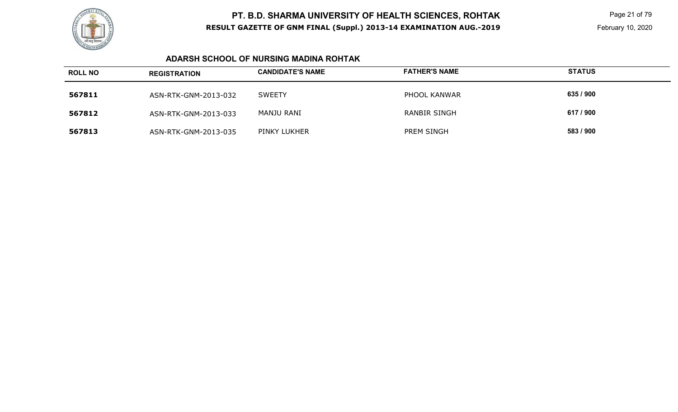

 Page 21 of 79 February 10, 2020

### **ADARSH SCHOOL OF NURSING MADINA ROHTAK**

| <b>ROLL NO</b> | <b>REGISTRATION</b>  | <b>CANDIDATE'S NAME</b> | <b>FATHER'S NAME</b> | <b>STATUS</b> |
|----------------|----------------------|-------------------------|----------------------|---------------|
| 567811         | ASN-RTK-GNM-2013-032 | <b>SWEETY</b>           | PHOOL KANWAR         | 635 / 900     |
| 567812         | ASN-RTK-GNM-2013-033 | MANJU RANI              | <b>RANBIR SINGH</b>  | 617 / 900     |
| 567813         | ASN-RTK-GNM-2013-035 | PINKY LUKHER            | <b>PREM SINGH</b>    | 583 / 900     |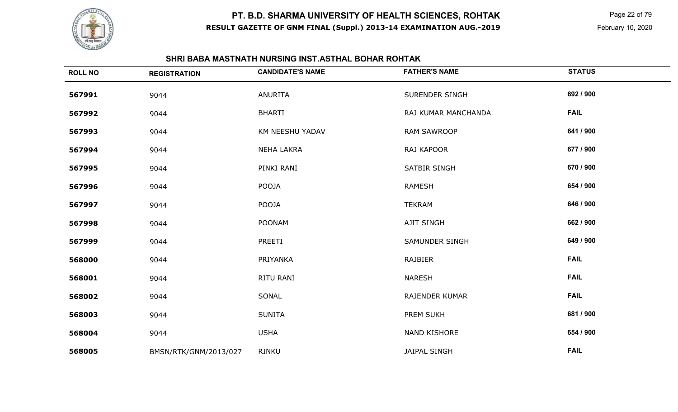

 Page 22 of 79 February 10, 2020

### **SHRI BABA MASTNATH NURSING INST.ASTHAL BOHAR ROHTAK**

| <b>ROLL NO</b> | <b>REGISTRATION</b>   | <b>CANDIDATE'S NAME</b> | <b>FATHER'S NAME</b>  | <b>STATUS</b> |
|----------------|-----------------------|-------------------------|-----------------------|---------------|
| 567991         | 9044                  | <b>ANURITA</b>          | SURENDER SINGH        | 692 / 900     |
| 567992         | 9044                  | <b>BHARTI</b>           | RAJ KUMAR MANCHANDA   | <b>FAIL</b>   |
| 567993         | 9044                  | KM NEESHU YADAV         | <b>RAM SAWROOP</b>    | 641 / 900     |
| 567994         | 9044                  | <b>NEHA LAKRA</b>       | RAJ KAPOOR            | 677 / 900     |
| 567995         | 9044                  | PINKI RANI              | SATBIR SINGH          | 670 / 900     |
| 567996         | 9044                  | POOJA                   | <b>RAMESH</b>         | 654 / 900     |
| 567997         | 9044                  | POOJA                   | <b>TEKRAM</b>         | 646 / 900     |
| 567998         | 9044                  | <b>POONAM</b>           | <b>AJIT SINGH</b>     | 662 / 900     |
| 567999         | 9044                  | PREETI                  | <b>SAMUNDER SINGH</b> | 649 / 900     |
| 568000         | 9044                  | PRIYANKA                | <b>RAJBIER</b>        | <b>FAIL</b>   |
| 568001         | 9044                  | RITU RANI               | <b>NARESH</b>         | <b>FAIL</b>   |
| 568002         | 9044                  | SONAL                   | <b>RAJENDER KUMAR</b> | <b>FAIL</b>   |
| 568003         | 9044                  | <b>SUNITA</b>           | PREM SUKH             | 681 / 900     |
| 568004         | 9044                  | <b>USHA</b>             | <b>NAND KISHORE</b>   | 654 / 900     |
| 568005         | BMSN/RTK/GNM/2013/027 | RINKU                   | <b>JAIPAL SINGH</b>   | <b>FAIL</b>   |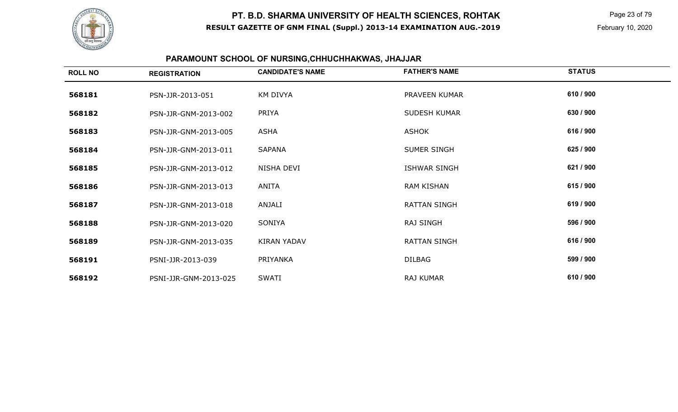

 Page 23 of 79 February 10, 2020

# **PARAMOUNT SCHOOL OF NURSING,CHHUCHHAKWAS, JHAJJAR**

| <b>ROLL NO</b> | <b>REGISTRATION</b>   | <b>CANDIDATE'S NAME</b> | <b>FATHER'S NAME</b> | <b>STATUS</b> |
|----------------|-----------------------|-------------------------|----------------------|---------------|
| 568181         | PSN-JJR-2013-051      | <b>KM DIVYA</b>         | PRAVEEN KUMAR        | 610 / 900     |
| 568182         | PSN-JJR-GNM-2013-002  | PRIYA                   | SUDESH KUMAR         | 630 / 900     |
| 568183         | PSN-JJR-GNM-2013-005  | ASHA                    | ASHOK                | 616 / 900     |
| 568184         | PSN-JJR-GNM-2013-011  | SAPANA                  | SUMER SINGH          | 625 / 900     |
| 568185         | PSN-JJR-GNM-2013-012  | NISHA DEVI              | ISHWAR SINGH         | 621 / 900     |
| 568186         | PSN-JJR-GNM-2013-013  | ANITA                   | RAM KISHAN           | 615 / 900     |
| 568187         | PSN-JJR-GNM-2013-018  | ANJALI                  | RATTAN SINGH         | 619 / 900     |
| 568188         | PSN-JJR-GNM-2013-020  | SONIYA                  | <b>RAJ SINGH</b>     | 596 / 900     |
| 568189         | PSN-JJR-GNM-2013-035  | <b>KIRAN YADAV</b>      | <b>RATTAN SINGH</b>  | 616 / 900     |
| 568191         | PSNI-JJR-2013-039     | PRIYANKA                | <b>DILBAG</b>        | 599 / 900     |
| 568192         | PSNI-JJR-GNM-2013-025 | <b>SWATI</b>            | RAJ KUMAR            | 610 / 900     |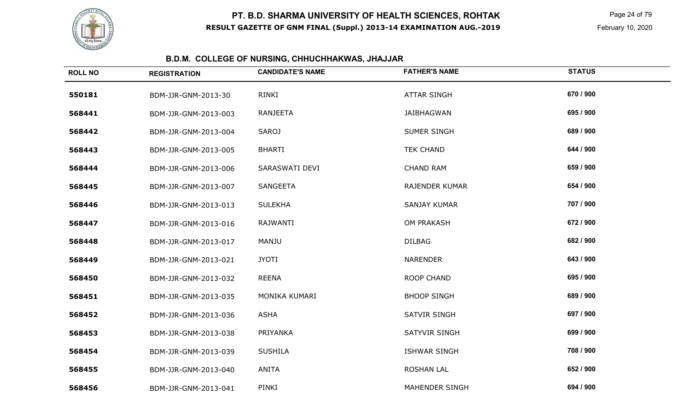

 Page 24 of 79 February 10, 2020

# **B.D.M. COLLEGE OF NURSING, CHHUCHHAKWAS, JHAJJAR**

| <b>ROLL NO</b> | <b>REGISTRATION</b>  | <b>CANDIDATE'S NAME</b> | <b>FATHER'S NAME</b>  | <b>STATUS</b> |
|----------------|----------------------|-------------------------|-----------------------|---------------|
| 550181         | BDM-JJR-GNM-2013-30  | RINKI                   | <b>ATTAR SINGH</b>    | 670 / 900     |
| 568441         | BDM-JJR-GNM-2013-003 | <b>RANJEETA</b>         | <b>JAIBHAGWAN</b>     | 695 / 900     |
| 568442         | BDM-JJR-GNM-2013-004 | <b>SAROJ</b>            | SUMER SINGH           | 689 / 900     |
| 568443         | BDM-JJR-GNM-2013-005 | <b>BHARTI</b>           | <b>TEK CHAND</b>      | 644 / 900     |
| 568444         | BDM-JJR-GNM-2013-006 | SARASWATI DEVI          | <b>CHAND RAM</b>      | 659 / 900     |
| 568445         | BDM-JJR-GNM-2013-007 | SANGEETA                | <b>RAJENDER KUMAR</b> | 654 / 900     |
| 568446         | BDM-JJR-GNM-2013-013 | <b>SULEKHA</b>          | <b>SANJAY KUMAR</b>   | 707 / 900     |
| 568447         | BDM-JJR-GNM-2013-016 | <b>RAJWANTI</b>         | <b>OM PRAKASH</b>     | 672 / 900     |
| 568448         | BDM-JJR-GNM-2013-017 | <b>MANJU</b>            | <b>DILBAG</b>         | 682 / 900     |
| 568449         | BDM-JJR-GNM-2013-021 | <b>JYOTI</b>            | <b>NARENDER</b>       | 643 / 900     |
| 568450         | BDM-JJR-GNM-2013-032 | <b>REENA</b>            | <b>ROOP CHAND</b>     | 695 / 900     |
| 568451         | BDM-JJR-GNM-2013-035 | MONIKA KUMARI           | <b>BHOOP SINGH</b>    | 689 / 900     |
| 568452         | BDM-JJR-GNM-2013-036 | <b>ASHA</b>             | <b>SATVIR SINGH</b>   | 697 / 900     |
| 568453         | BDM-JJR-GNM-2013-038 | PRIYANKA                | <b>SATYVIR SINGH</b>  | 699 / 900     |
| 568454         | BDM-JJR-GNM-2013-039 | <b>SUSHILA</b>          | <b>ISHWAR SINGH</b>   | 708 / 900     |
| 568455         | BDM-JJR-GNM-2013-040 | <b>ANITA</b>            | <b>ROSHAN LAL</b>     | 652 / 900     |
| 568456         | BDM-JJR-GNM-2013-041 | PINKI                   | <b>MAHENDER SINGH</b> | 694 / 900     |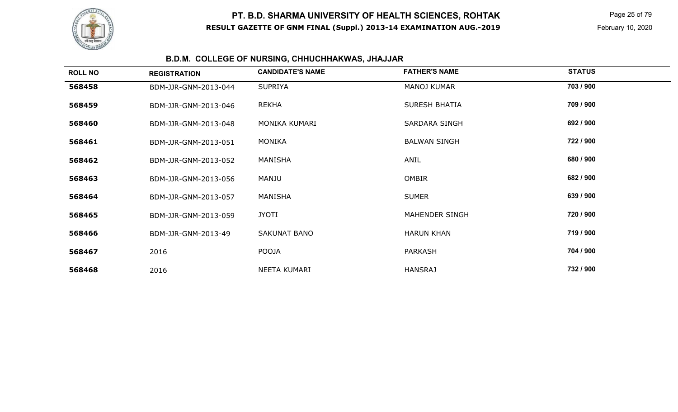

 Page 25 of 79 February 10, 2020

# **B.D.M. COLLEGE OF NURSING, CHHUCHHAKWAS, JHAJJAR**

| <b>ROLL NO</b> | <b>REGISTRATION</b>  | <b>CANDIDATE'S NAME</b> | <b>FATHER'S NAME</b> | <b>STATUS</b> |  |
|----------------|----------------------|-------------------------|----------------------|---------------|--|
| 568458         | BDM-JJR-GNM-2013-044 | <b>SUPRIYA</b>          | <b>MANOJ KUMAR</b>   | 703 / 900     |  |
| 568459         | BDM-JJR-GNM-2013-046 | <b>REKHA</b>            | <b>SURESH BHATIA</b> | 709 / 900     |  |
| 568460         | BDM-JJR-GNM-2013-048 | MONIKA KUMARI           | <b>SARDARA SINGH</b> | 692 / 900     |  |
| 568461         | BDM-JJR-GNM-2013-051 | <b>MONIKA</b>           | <b>BALWAN SINGH</b>  | 722 / 900     |  |
| 568462         | BDM-JJR-GNM-2013-052 | MANISHA                 | ANIL                 | 680 / 900     |  |
| 568463         | BDM-JJR-GNM-2013-056 | MANJU                   | <b>OMBIR</b>         | 682 / 900     |  |
| 568464         | BDM-JJR-GNM-2013-057 | MANISHA                 | <b>SUMER</b>         | 639 / 900     |  |
| 568465         | BDM-JJR-GNM-2013-059 | <b>JYOTI</b>            | MAHENDER SINGH       | 720 / 900     |  |
| 568466         | BDM-JJR-GNM-2013-49  | SAKUNAT BANO            | <b>HARUN KHAN</b>    | 719 / 900     |  |
| 568467         | 2016                 | <b>POOJA</b>            | <b>PARKASH</b>       | 704 / 900     |  |
| 568468         | 2016                 | NEETA KUMARI            | <b>HANSRAJ</b>       | 732 / 900     |  |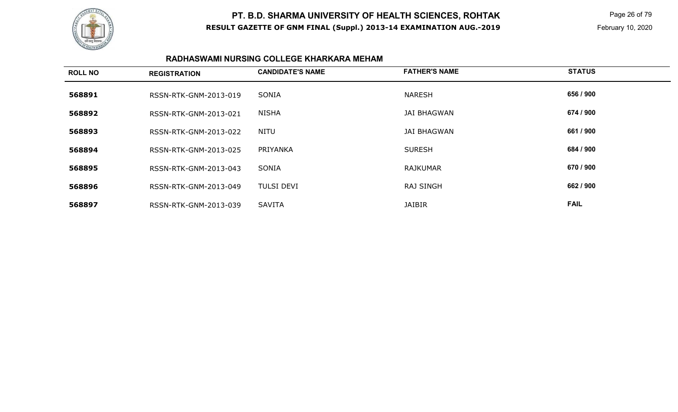

 Page 26 of 79 February 10, 2020

#### **RADHASWAMI NURSING COLLEGE KHARKARA MEHAM**

| <b>ROLL NO</b> | <b>REGISTRATION</b>   | <b>CANDIDATE'S NAME</b> | <b>FATHER'S NAME</b> | <b>STATUS</b> |
|----------------|-----------------------|-------------------------|----------------------|---------------|
| 568891         | RSSN-RTK-GNM-2013-019 | SONIA                   | <b>NARESH</b>        | 656 / 900     |
| 568892         | RSSN-RTK-GNM-2013-021 | NISHA                   | <b>JAI BHAGWAN</b>   | 674 / 900     |
| 568893         | RSSN-RTK-GNM-2013-022 | NITU                    | <b>JAI BHAGWAN</b>   | 661 / 900     |
| 568894         | RSSN-RTK-GNM-2013-025 | PRIYANKA                | <b>SURESH</b>        | 684 / 900     |
| 568895         | RSSN-RTK-GNM-2013-043 | SONIA                   | <b>RAJKUMAR</b>      | 670 / 900     |
| 568896         | RSSN-RTK-GNM-2013-049 | <b>TULSI DEVI</b>       | <b>RAJ SINGH</b>     | 662 / 900     |
| 568897         | RSSN-RTK-GNM-2013-039 | <b>SAVITA</b>           | <b>JAIBIR</b>        | <b>FAIL</b>   |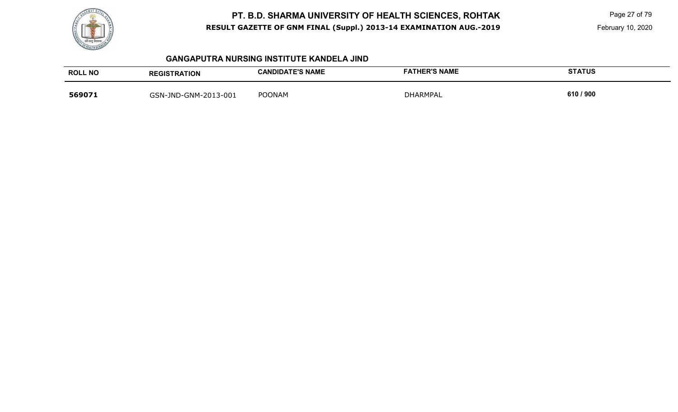

 Page 27 of 79 February 10, 2020

#### **GANGAPUTRA NURSING INSTITUTE KANDELA JIND**

| <b>ROLL NO</b> | <b>REGISTRATION</b>  | <b>CANDIDATE'S NAME</b> | <b>FATHER'S NAME</b> | <b>STATUS</b> |
|----------------|----------------------|-------------------------|----------------------|---------------|
| 569071         | GSN-JND-GNM-2013-001 | <b>POONAM</b>           | <b>DHARMPAL</b>      | 610 / 900     |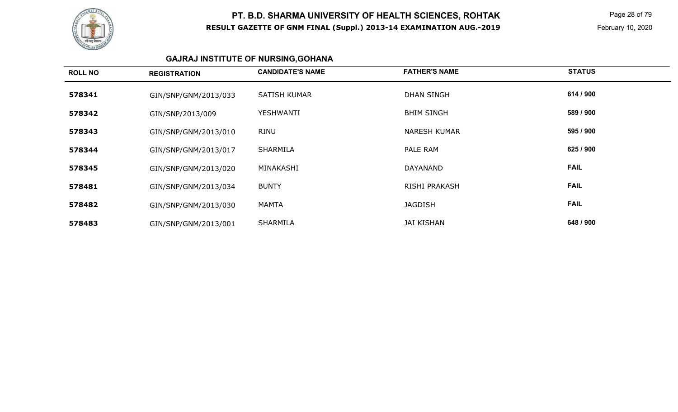

 Page 28 of 79 February 10, 2020

# **GAJRAJ INSTITUTE OF NURSING,GOHANA**

| <b>ROLL NO</b> | <b>REGISTRATION</b>  | <b>CANDIDATE'S NAME</b> | <b>FATHER'S NAME</b> | <b>STATUS</b> |
|----------------|----------------------|-------------------------|----------------------|---------------|
| 578341         | GIN/SNP/GNM/2013/033 | <b>SATISH KUMAR</b>     | <b>DHAN SINGH</b>    | 614 / 900     |
| 578342         | GIN/SNP/2013/009     | <b>YESHWANTI</b>        | <b>BHIM SINGH</b>    | 589 / 900     |
| 578343         | GIN/SNP/GNM/2013/010 | <b>RINU</b>             | <b>NARESH KUMAR</b>  | 595 / 900     |
| 578344         | GIN/SNP/GNM/2013/017 | SHARMILA                | PALE RAM             | 625 / 900     |
| 578345         | GIN/SNP/GNM/2013/020 | MINAKASHI               | DAYANAND             | <b>FAIL</b>   |
| 578481         | GIN/SNP/GNM/2013/034 | <b>BUNTY</b>            | RISHI PRAKASH        | <b>FAIL</b>   |
| 578482         | GIN/SNP/GNM/2013/030 | <b>MAMTA</b>            | <b>JAGDISH</b>       | <b>FAIL</b>   |
| 578483         | GIN/SNP/GNM/2013/001 | <b>SHARMILA</b>         | <b>JAI KISHAN</b>    | 648 / 900     |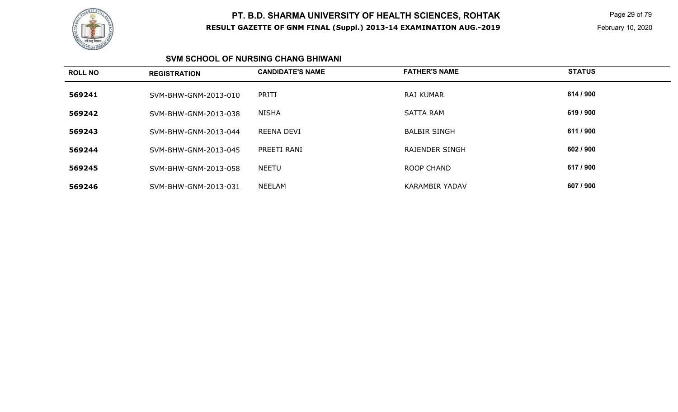

 Page 29 of 79 February 10, 2020

#### **SVM SCHOOL OF NURSING CHANG BHIWANI**

| <b>ROLL NO</b> | <b>REGISTRATION</b>  | <b>CANDIDATE'S NAME</b> | <b>FATHER'S NAME</b>  | <b>STATUS</b> |
|----------------|----------------------|-------------------------|-----------------------|---------------|
| 569241         | SVM-BHW-GNM-2013-010 | PRITI                   | <b>RAJ KUMAR</b>      | 614 / 900     |
| 569242         | SVM-BHW-GNM-2013-038 | NISHA                   | <b>SATTA RAM</b>      | 619 / 900     |
| 569243         | SVM-BHW-GNM-2013-044 | REENA DEVI              | <b>BALBIR SINGH</b>   | 611 / 900     |
| 569244         | SVM-BHW-GNM-2013-045 | PREETI RANI             | <b>RAJENDER SINGH</b> | 602 / 900     |
| 569245         | SVM-BHW-GNM-2013-058 | <b>NEETU</b>            | ROOP CHAND            | 617 / 900     |
| 569246         | SVM-BHW-GNM-2013-031 | NEELAM                  | <b>KARAMBIR YADAV</b> | 607 / 900     |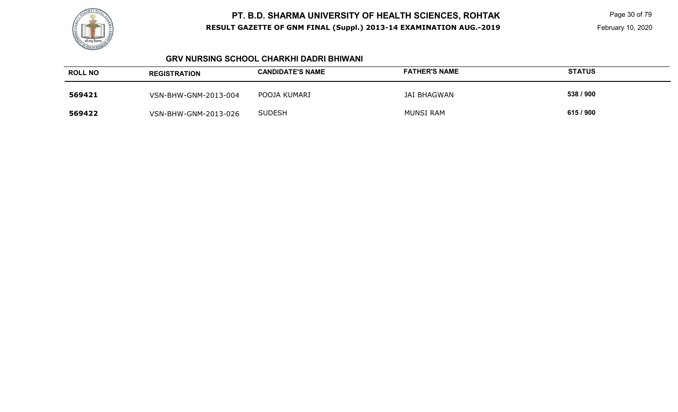

 Page 30 of 79 February 10, 2020

#### **GRV NURSING SCHOOL CHARKHI DADRI BHIWANI**

| <b>ROLL NO</b> | <b>REGISTRATION</b>  | <b>CANDIDATE'S NAME</b> | <b>FATHER'S NAME</b> | <b>STATUS</b> |
|----------------|----------------------|-------------------------|----------------------|---------------|
| 569421         | VSN-BHW-GNM-2013-004 | POOJA KUMARI            | JAI BHAGWAN          | 538 / 900     |
| 569422         | VSN-BHW-GNM-2013-026 | <b>SUDESH</b>           | <b>MUNSI RAM</b>     | 615 / 900     |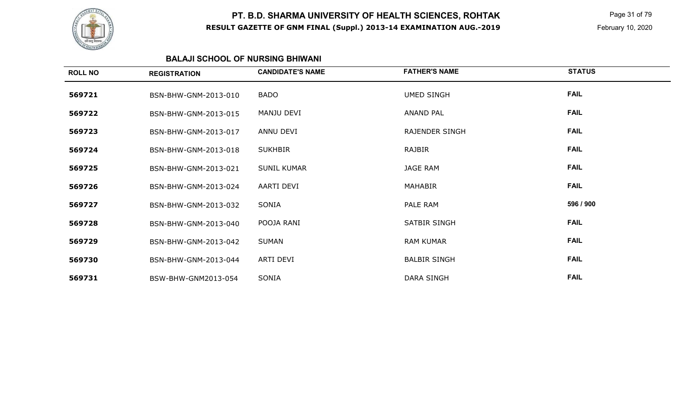

 Page 31 of 79 February 10, 2020

### **BALAJI SCHOOL OF NURSING BHIWANI**

| <b>ROLL NO</b> | <b>REGISTRATION</b>  | <b>CANDIDATE'S NAME</b> | <b>FATHER'S NAME</b> | <b>STATUS</b> |
|----------------|----------------------|-------------------------|----------------------|---------------|
| 569721         | BSN-BHW-GNM-2013-010 | <b>BADO</b>             | <b>UMED SINGH</b>    | <b>FAIL</b>   |
| 569722         | BSN-BHW-GNM-2013-015 | MANJU DEVI              | <b>ANAND PAL</b>     | <b>FAIL</b>   |
| 569723         | BSN-BHW-GNM-2013-017 | ANNU DEVI               | RAJENDER SINGH       | <b>FAIL</b>   |
| 569724         | BSN-BHW-GNM-2013-018 | <b>SUKHBIR</b>          | RAJBIR               | <b>FAIL</b>   |
| 569725         | BSN-BHW-GNM-2013-021 | <b>SUNIL KUMAR</b>      | <b>JAGE RAM</b>      | <b>FAIL</b>   |
| 569726         | BSN-BHW-GNM-2013-024 | AARTI DEVI              | <b>MAHABIR</b>       | <b>FAIL</b>   |
| 569727         | BSN-BHW-GNM-2013-032 | SONIA                   | PALE RAM             | 596 / 900     |
| 569728         | BSN-BHW-GNM-2013-040 | POOJA RANI              | SATBIR SINGH         | <b>FAIL</b>   |
| 569729         | BSN-BHW-GNM-2013-042 | <b>SUMAN</b>            | <b>RAM KUMAR</b>     | <b>FAIL</b>   |
| 569730         | BSN-BHW-GNM-2013-044 | ARTI DEVI               | <b>BALBIR SINGH</b>  | <b>FAIL</b>   |
| 569731         | BSW-BHW-GNM2013-054  | SONIA                   | DARA SINGH           | <b>FAIL</b>   |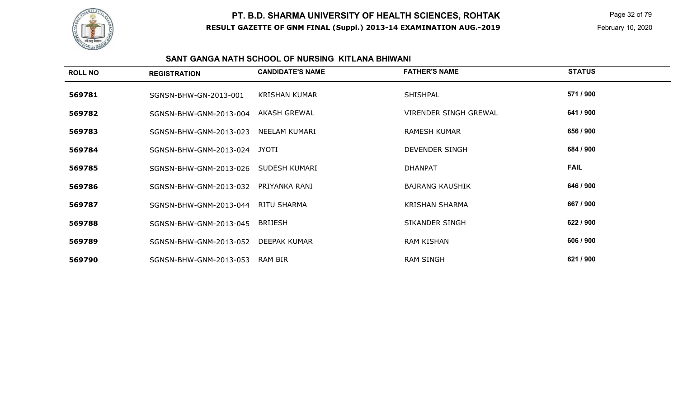

 Page 32 of 79 February 10, 2020

#### **SANT GANGA NATH SCHOOL OF NURSING KITLANA BHIWANI**

| <b>ROLL NO</b> | <b>REGISTRATION</b>    | <b>CANDIDATE'S NAME</b> | <b>FATHER'S NAME</b>   | <b>STATUS</b> |
|----------------|------------------------|-------------------------|------------------------|---------------|
| 569781         | SGNSN-BHW-GN-2013-001  | KRISHAN KUMAR           | SHISHPAL               | 571 / 900     |
| 569782         | SGNSN-BHW-GNM-2013-004 | AKASH GREWAL            | VIRENDER SINGH GREWAL  | 641 / 900     |
| 569783         | SGNSN-BHW-GNM-2013-023 | NEELAM KUMARI           | <b>RAMESH KUMAR</b>    | 656 / 900     |
| 569784         | SGNSN-BHW-GNM-2013-024 | JYOTI                   | DEVENDER SINGH         | 684 / 900     |
| 569785         | SGNSN-BHW-GNM-2013-026 | SUDESH KUMARI           | <b>DHANPAT</b>         | <b>FAIL</b>   |
| 569786         | SGNSN-BHW-GNM-2013-032 | PRIYANKA RANI           | <b>BAJRANG KAUSHIK</b> | 646 / 900     |
| 569787         | SGNSN-BHW-GNM-2013-044 | RITU SHARMA             | <b>KRISHAN SHARMA</b>  | 667 / 900     |
| 569788         | SGNSN-BHW-GNM-2013-045 | <b>BRIJESH</b>          | SIKANDER SINGH         | 622 / 900     |
| 569789         | SGNSN-BHW-GNM-2013-052 | DEEPAK KUMAR            | RAM KISHAN             | 606 / 900     |
| 569790         | SGNSN-BHW-GNM-2013-053 | RAM BIR                 | <b>RAM SINGH</b>       | 621 / 900     |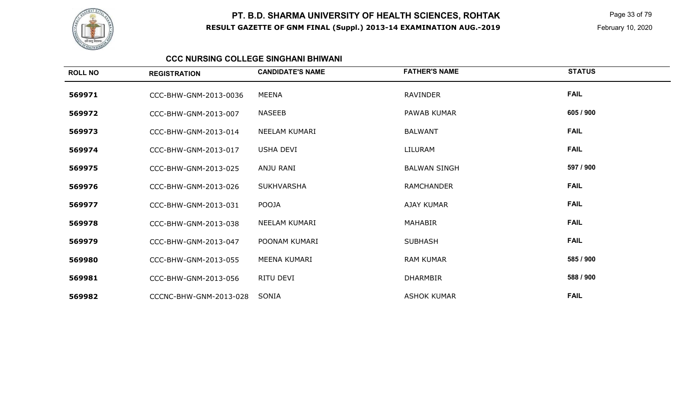

 Page 33 of 79 February 10, 2020

#### **CCC NURSING COLLEGE SINGHANI BHIWANI**

| <b>ROLL NO</b> | <b>REGISTRATION</b>    | <b>CANDIDATE'S NAME</b> | <b>FATHER'S NAME</b> | <b>STATUS</b> |
|----------------|------------------------|-------------------------|----------------------|---------------|
| 569971         | CCC-BHW-GNM-2013-0036  | MEENA                   | <b>RAVINDER</b>      | <b>FAIL</b>   |
| 569972         | CCC-BHW-GNM-2013-007   | <b>NASEEB</b>           | PAWAB KUMAR          | 605 / 900     |
| 569973         | CCC-BHW-GNM-2013-014   | NEELAM KUMARI           | <b>BALWANT</b>       | <b>FAIL</b>   |
| 569974         | CCC-BHW-GNM-2013-017   | <b>USHA DEVI</b>        | LILURAM              | <b>FAIL</b>   |
| 569975         | CCC-BHW-GNM-2013-025   | ANJU RANI               | <b>BALWAN SINGH</b>  | 597 / 900     |
| 569976         | CCC-BHW-GNM-2013-026   | <b>SUKHVARSHA</b>       | <b>RAMCHANDER</b>    | <b>FAIL</b>   |
| 569977         | CCC-BHW-GNM-2013-031   | POOJA                   | <b>AJAY KUMAR</b>    | <b>FAIL</b>   |
| 569978         | CCC-BHW-GNM-2013-038   | NEELAM KUMARI           | <b>MAHABIR</b>       | <b>FAIL</b>   |
| 569979         | CCC-BHW-GNM-2013-047   | POONAM KUMARI           | <b>SUBHASH</b>       | <b>FAIL</b>   |
| 569980         | CCC-BHW-GNM-2013-055   | MEENA KUMARI            | <b>RAM KUMAR</b>     | 585 / 900     |
| 569981         | CCC-BHW-GNM-2013-056   | RITU DEVI               | <b>DHARMBIR</b>      | 588 / 900     |
| 569982         | CCCNC-BHW-GNM-2013-028 | SONIA                   | <b>ASHOK KUMAR</b>   | <b>FAIL</b>   |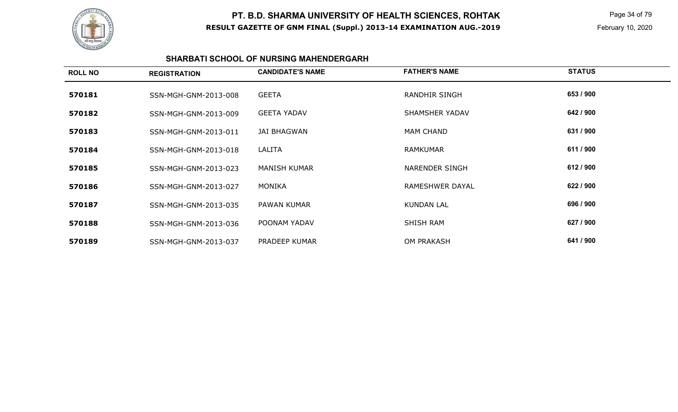

 Page 34 of 79 February 10, 2020

#### **SHARBATI SCHOOL OF NURSING MAHENDERGARH**

| <b>ROLL NO</b> | <b>REGISTRATION</b>  | <b>CANDIDATE'S NAME</b> | <b>FATHER'S NAME</b>  | <b>STATUS</b> |
|----------------|----------------------|-------------------------|-----------------------|---------------|
| 570181         | SSN-MGH-GNM-2013-008 | <b>GEETA</b>            | <b>RANDHIR SINGH</b>  | 653 / 900     |
| 570182         | SSN-MGH-GNM-2013-009 | <b>GEETA YADAV</b>      | SHAMSHER YADAV        | 642 / 900     |
| 570183         | SSN-MGH-GNM-2013-011 | JAI BHAGWAN             | <b>MAM CHAND</b>      | 631 / 900     |
| 570184         | SSN-MGH-GNM-2013-018 | LALITA                  | <b>RAMKUMAR</b>       | 611 / 900     |
| 570185         | SSN-MGH-GNM-2013-023 | <b>MANISH KUMAR</b>     | <b>NARENDER SINGH</b> | 612 / 900     |
| 570186         | SSN-MGH-GNM-2013-027 | MONIKA                  | RAMESHWER DAYAL       | 622 / 900     |
| 570187         | SSN-MGH-GNM-2013-035 | PAWAN KUMAR             | <b>KUNDAN LAL</b>     | 696 / 900     |
| 570188         | SSN-MGH-GNM-2013-036 | POONAM YADAV            | SHISH RAM             | 627 / 900     |
| 570189         | SSN-MGH-GNM-2013-037 | <b>PRADEEP KUMAR</b>    | <b>OM PRAKASH</b>     | 641 / 900     |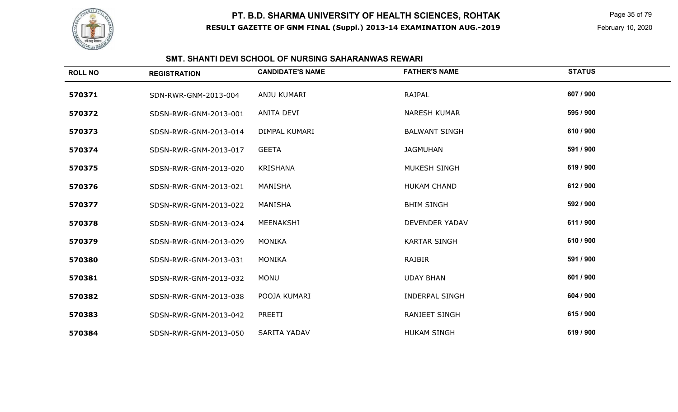

 Page 35 of 79 February 10, 2020

# **SMT. SHANTI DEVI SCHOOL OF NURSING SAHARANWAS REWARI**

| <b>ROLL NO</b> | <b>REGISTRATION</b>   | <b>CANDIDATE'S NAME</b> | <b>FATHER'S NAME</b>  | <b>STATUS</b> |
|----------------|-----------------------|-------------------------|-----------------------|---------------|
| 570371         | SDN-RWR-GNM-2013-004  | ANJU KUMARI             | <b>RAJPAL</b>         | 607 / 900     |
| 570372         | SDSN-RWR-GNM-2013-001 | ANITA DEVI              | <b>NARESH KUMAR</b>   | 595 / 900     |
| 570373         | SDSN-RWR-GNM-2013-014 | DIMPAL KUMARI           | <b>BALWANT SINGH</b>  | 610 / 900     |
| 570374         | SDSN-RWR-GNM-2013-017 | <b>GEETA</b>            | <b>JAGMUHAN</b>       | 591 / 900     |
| 570375         | SDSN-RWR-GNM-2013-020 | <b>KRISHANA</b>         | MUKESH SINGH          | 619 / 900     |
| 570376         | SDSN-RWR-GNM-2013-021 | MANISHA                 | <b>HUKAM CHAND</b>    | 612 / 900     |
| 570377         | SDSN-RWR-GNM-2013-022 | MANISHA                 | <b>BHIM SINGH</b>     | 592 / 900     |
| 570378         | SDSN-RWR-GNM-2013-024 | MEENAKSHI               | <b>DEVENDER YADAV</b> | 611 / 900     |
| 570379         | SDSN-RWR-GNM-2013-029 | <b>MONIKA</b>           | <b>KARTAR SINGH</b>   | 610 / 900     |
| 570380         | SDSN-RWR-GNM-2013-031 | <b>MONIKA</b>           | <b>RAJBIR</b>         | 591 / 900     |
| 570381         | SDSN-RWR-GNM-2013-032 | <b>MONU</b>             | <b>UDAY BHAN</b>      | 601 / 900     |
| 570382         | SDSN-RWR-GNM-2013-038 | POOJA KUMARI            | <b>INDERPAL SINGH</b> | 604 / 900     |
| 570383         | SDSN-RWR-GNM-2013-042 | PREETI                  | <b>RANJEET SINGH</b>  | 615 / 900     |
| 570384         | SDSN-RWR-GNM-2013-050 | <b>SARITA YADAV</b>     | <b>HUKAM SINGH</b>    | 619 / 900     |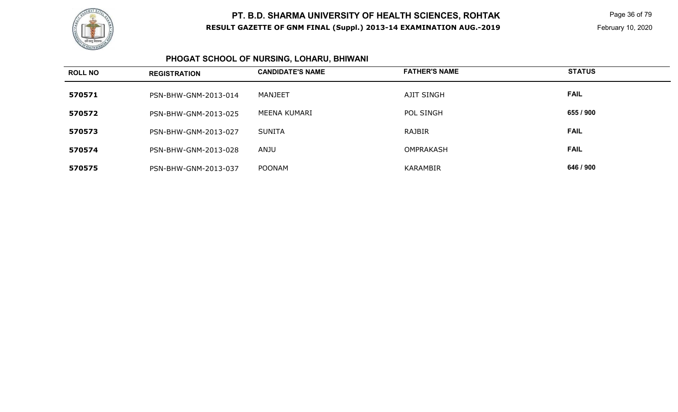

 Page 36 of 79 February 10, 2020

#### **PHOGAT SCHOOL OF NURSING, LOHARU, BHIWANI**

| <b>ROLL NO</b> | <b>REGISTRATION</b>  | <b>CANDIDATE'S NAME</b> | <b>FATHER'S NAME</b> | <b>STATUS</b> |
|----------------|----------------------|-------------------------|----------------------|---------------|
| 570571         | PSN-BHW-GNM-2013-014 | MANJEET                 | <b>AJIT SINGH</b>    | <b>FAIL</b>   |
| 570572         | PSN-BHW-GNM-2013-025 | MEENA KUMARI            | POL SINGH            | 655 / 900     |
| 570573         | PSN-BHW-GNM-2013-027 | <b>SUNITA</b>           | RAJBIR               | <b>FAIL</b>   |
| 570574         | PSN-BHW-GNM-2013-028 | ANJU                    | <b>OMPRAKASH</b>     | <b>FAIL</b>   |
| 570575         | PSN-BHW-GNM-2013-037 | <b>POONAM</b>           | <b>KARAMBIR</b>      | 646 / 900     |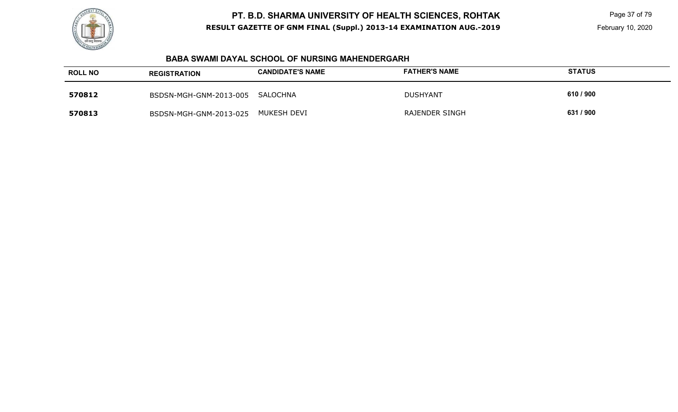

 Page 37 of 79 February 10, 2020

#### **BABA SWAMI DAYAL SCHOOL OF NURSING MAHENDERGARH**

| <b>ROLL NO</b> | <b>REGISTRATION</b>    | <b>CANDIDATE'S NAME</b> | <b>FATHER'S NAME</b> | <b>STATUS</b> |
|----------------|------------------------|-------------------------|----------------------|---------------|
| 570812         | BSDSN-MGH-GNM-2013-005 | SALOCHNA                | <b>DUSHYANT</b>      | 610 / 900     |
| 570813         | BSDSN-MGH-GNM-2013-025 | MUKESH DEVI             | RAJENDER SINGH       | 631 / 900     |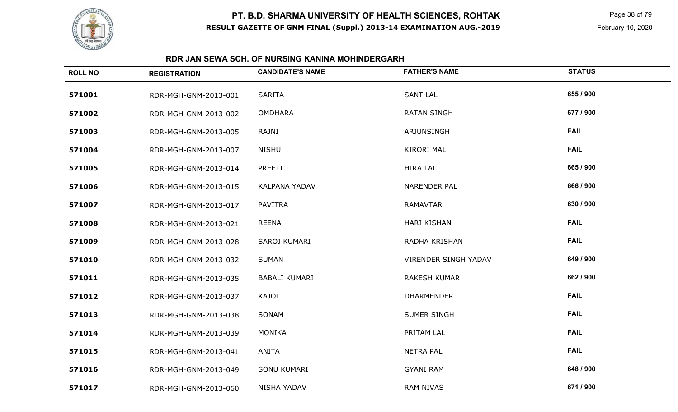

 Page 38 of 79 February 10, 2020

### **RDR JAN SEWA SCH. OF NURSING KANINA MOHINDERGARH**

| <b>ROLL NO</b> | <b>REGISTRATION</b>  | <b>CANDIDATE'S NAME</b> | <b>FATHER'S NAME</b>        | <b>STATUS</b> |
|----------------|----------------------|-------------------------|-----------------------------|---------------|
| 571001         | RDR-MGH-GNM-2013-001 | <b>SARITA</b>           | <b>SANT LAL</b>             | 655 / 900     |
| 571002         | RDR-MGH-GNM-2013-002 | <b>OMDHARA</b>          | <b>RATAN SINGH</b>          | 677 / 900     |
| 571003         | RDR-MGH-GNM-2013-005 | RAJNI                   | ARJUNSINGH                  | <b>FAIL</b>   |
| 571004         | RDR-MGH-GNM-2013-007 | <b>NISHU</b>            | <b>KIRORI MAL</b>           | <b>FAIL</b>   |
| 571005         | RDR-MGH-GNM-2013-014 | PREETI                  | <b>HIRA LAL</b>             | 665 / 900     |
| 571006         | RDR-MGH-GNM-2013-015 | <b>KALPANA YADAV</b>    | <b>NARENDER PAL</b>         | 666 / 900     |
| 571007         | RDR-MGH-GNM-2013-017 | <b>PAVITRA</b>          | <b>RAMAVTAR</b>             | 630 / 900     |
| 571008         | RDR-MGH-GNM-2013-021 | <b>REENA</b>            | <b>HARI KISHAN</b>          | <b>FAIL</b>   |
| 571009         | RDR-MGH-GNM-2013-028 | SAROJ KUMARI            | RADHA KRISHAN               | <b>FAIL</b>   |
| 571010         | RDR-MGH-GNM-2013-032 | <b>SUMAN</b>            | <b>VIRENDER SINGH YADAV</b> | 649 / 900     |
| 571011         | RDR-MGH-GNM-2013-035 | <b>BABALI KUMARI</b>    | <b>RAKESH KUMAR</b>         | 662 / 900     |
| 571012         | RDR-MGH-GNM-2013-037 | <b>KAJOL</b>            | <b>DHARMENDER</b>           | <b>FAIL</b>   |
| 571013         | RDR-MGH-GNM-2013-038 | SONAM                   | <b>SUMER SINGH</b>          | <b>FAIL</b>   |
| 571014         | RDR-MGH-GNM-2013-039 | <b>MONIKA</b>           | PRITAM LAL                  | <b>FAIL</b>   |
| 571015         | RDR-MGH-GNM-2013-041 | <b>ANITA</b>            | <b>NETRA PAL</b>            | <b>FAIL</b>   |
| 571016         | RDR-MGH-GNM-2013-049 | SONU KUMARI             | <b>GYANI RAM</b>            | 648 / 900     |
| 571017         | RDR-MGH-GNM-2013-060 | <b>NISHA YADAV</b>      | <b>RAM NIVAS</b>            | 671 / 900     |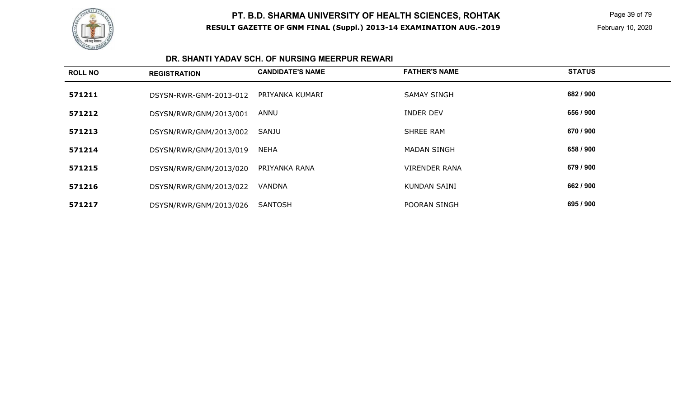

 Page 39 of 79 February 10, 2020

#### **DR. SHANTI YADAV SCH. OF NURSING MEERPUR REWARI**

| <b>ROLL NO</b> | <b>REGISTRATION</b>    | <b>CANDIDATE'S NAME</b> | <b>FATHER'S NAME</b> | <b>STATUS</b> |
|----------------|------------------------|-------------------------|----------------------|---------------|
| 571211         | DSYSN-RWR-GNM-2013-012 | PRIYANKA KUMARI         | <b>SAMAY SINGH</b>   | 682 / 900     |
| 571212         | DSYSN/RWR/GNM/2013/001 | ANNU                    | <b>INDER DEV</b>     | 656 / 900     |
| 571213         | DSYSN/RWR/GNM/2013/002 | SANJU                   | <b>SHREE RAM</b>     | 670 / 900     |
| 571214         | DSYSN/RWR/GNM/2013/019 | <b>NEHA</b>             | <b>MADAN SINGH</b>   | 658 / 900     |
| 571215         | DSYSN/RWR/GNM/2013/020 | PRIYANKA RANA           | <b>VIRENDER RANA</b> | 679 / 900     |
| 571216         | DSYSN/RWR/GNM/2013/022 | VANDNA                  | <b>KUNDAN SAINI</b>  | 662 / 900     |
| 571217         | DSYSN/RWR/GNM/2013/026 | <b>SANTOSH</b>          | POORAN SINGH         | 695 / 900     |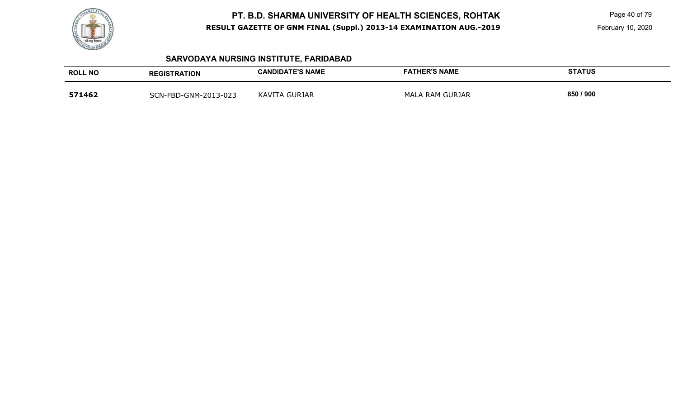

 Page 40 of 79 February 10, 2020

# **SARVODAYA NURSING INSTITUTE, FARIDABAD**

| <b>ROLL NO</b> | <b>REGISTRATION</b>  | <b>CANDIDATE'S NAME</b> | <b>FATHER'S NAME</b> | <b>STATUS</b> |
|----------------|----------------------|-------------------------|----------------------|---------------|
| 571462         | SCN-FBD-GNM-2013-023 | KAVITA GURJAR           | MALA RAM GURJAR      | 650 / 900     |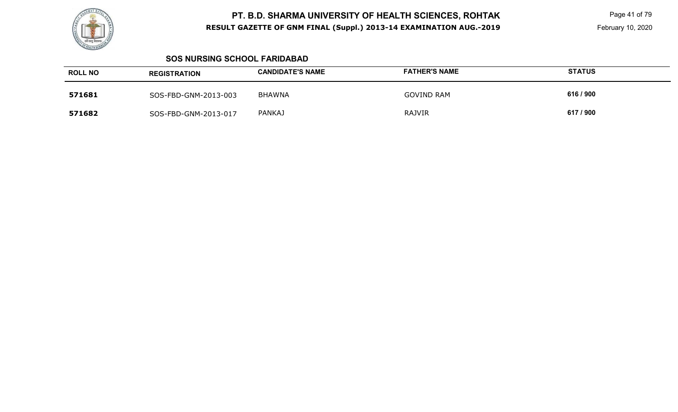

 Page 41 of 79 February 10, 2020

#### **SOS NURSING SCHOOL FARIDABAD**

| <b>ROLL NO</b> | <b>REGISTRATION</b>  | <b>CANDIDATE'S NAME</b> | <b>FATHER'S NAME</b> | <b>STATUS</b> |
|----------------|----------------------|-------------------------|----------------------|---------------|
| 571681         | SOS-FBD-GNM-2013-003 | BHAWNA                  | <b>GOVIND RAM</b>    | 616 / 900     |
| 571682         | SOS-FBD-GNM-2013-017 | <b>PANKAJ</b>           | <b>RAJVIR</b>        | 617 / 900     |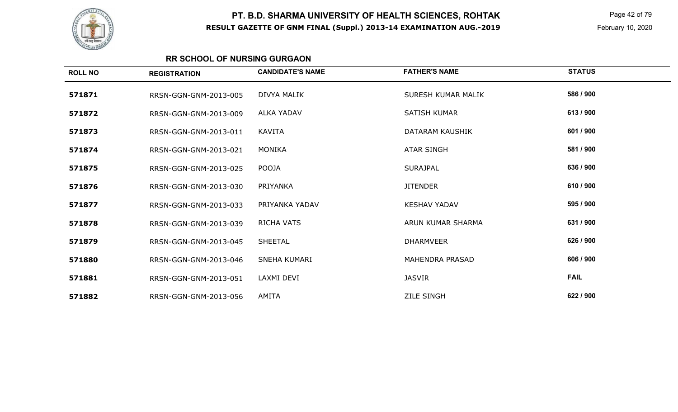

 Page 42 of 79 February 10, 2020

### **RR SCHOOL OF NURSING GURGAON**

| <b>ROLL NO</b> | <b>REGISTRATION</b>   | <b>CANDIDATE'S NAME</b> | <b>FATHER'S NAME</b>   | <b>STATUS</b> |
|----------------|-----------------------|-------------------------|------------------------|---------------|
| 571871         | RRSN-GGN-GNM-2013-005 | <b>DIVYA MALIK</b>      | SURESH KUMAR MALIK     | 586 / 900     |
| 571872         | RRSN-GGN-GNM-2013-009 | <b>ALKA YADAV</b>       | <b>SATISH KUMAR</b>    | 613/900       |
| 571873         | RRSN-GGN-GNM-2013-011 | KAVITA                  | DATARAM KAUSHIK        | 601 / 900     |
| 571874         | RRSN-GGN-GNM-2013-021 | <b>MONIKA</b>           | <b>ATAR SINGH</b>      | 581 / 900     |
| 571875         | RRSN-GGN-GNM-2013-025 | POOJA                   | <b>SURAJPAL</b>        | 636 / 900     |
| 571876         | RRSN-GGN-GNM-2013-030 | PRIYANKA                | <b>JITENDER</b>        | 610 / 900     |
| 571877         | RRSN-GGN-GNM-2013-033 | PRIYANKA YADAV          | <b>KESHAV YADAV</b>    | 595 / 900     |
| 571878         | RRSN-GGN-GNM-2013-039 | <b>RICHA VATS</b>       | ARUN KUMAR SHARMA      | 631 / 900     |
| 571879         | RRSN-GGN-GNM-2013-045 | <b>SHEETAL</b>          | <b>DHARMVEER</b>       | 626 / 900     |
| 571880         | RRSN-GGN-GNM-2013-046 | <b>SNEHA KUMARI</b>     | <b>MAHENDRA PRASAD</b> | 606 / 900     |
| 571881         | RRSN-GGN-GNM-2013-051 | LAXMI DEVI              | <b>JASVIR</b>          | <b>FAIL</b>   |
| 571882         | RRSN-GGN-GNM-2013-056 | <b>AMITA</b>            | <b>ZILE SINGH</b>      | 622 / 900     |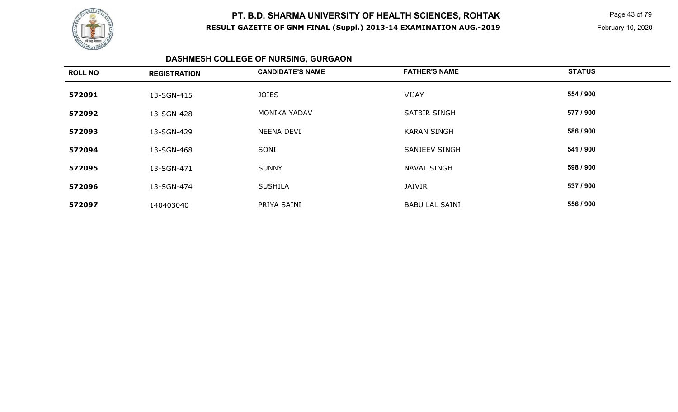

 Page 43 of 79 February 10, 2020

# **DASHMESH COLLEGE OF NURSING, GURGAON**

| <b>ROLL NO</b> | <b>REGISTRATION</b> | <b>CANDIDATE'S NAME</b> | <b>FATHER'S NAME</b>  | <b>STATUS</b> |
|----------------|---------------------|-------------------------|-----------------------|---------------|
| 572091         | 13-SGN-415          | <b>JOIES</b>            | <b>VIJAY</b>          | 554 / 900     |
| 572092         | 13-SGN-428          | <b>MONIKA YADAV</b>     | <b>SATBIR SINGH</b>   | 577 / 900     |
| 572093         | 13-SGN-429          | NEENA DEVI              | <b>KARAN SINGH</b>    | 586 / 900     |
| 572094         | 13-SGN-468          | SONI                    | SANJEEV SINGH         | 541 / 900     |
| 572095         | 13-SGN-471          | <b>SUNNY</b>            | <b>NAVAL SINGH</b>    | 598 / 900     |
| 572096         | 13-SGN-474          | <b>SUSHILA</b>          | <b>JAIVIR</b>         | 537 / 900     |
| 572097         | 140403040           | PRIYA SAINI             | <b>BABU LAL SAINI</b> | 556 / 900     |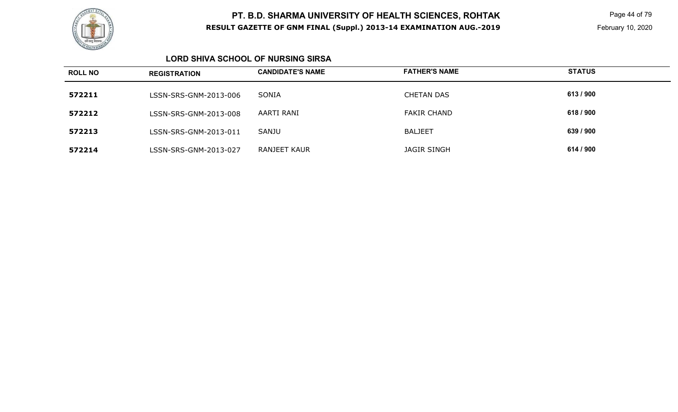

 Page 44 of 79 February 10, 2020

### **LORD SHIVA SCHOOL OF NURSING SIRSA**

| <b>ROLL NO</b> | <b>REGISTRATION</b>   | <b>CANDIDATE'S NAME</b> | <b>FATHER'S NAME</b> | <b>STATUS</b> |
|----------------|-----------------------|-------------------------|----------------------|---------------|
| 572211         | LSSN-SRS-GNM-2013-006 | SONIA                   | <b>CHETAN DAS</b>    | 613/900       |
| 572212         | LSSN-SRS-GNM-2013-008 | AARTI RANI              | <b>FAKIR CHAND</b>   | 618 / 900     |
| 572213         | LSSN-SRS-GNM-2013-011 | SANJU                   | <b>BALJEET</b>       | 639 / 900     |
| 572214         | LSSN-SRS-GNM-2013-027 | RANJEET KAUR            | <b>JAGIR SINGH</b>   | 614 / 900     |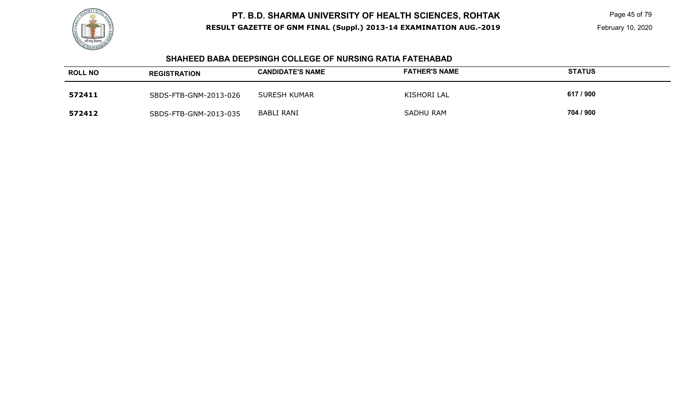

#### **SHAHEED BABA DEEPSINGH COLLEGE OF NURSING RATIA FATEHABAD**

| <b>ROLL NO</b> | <b>REGISTRATION</b>   | <b>CANDIDATE'S NAME</b> | <b>FATHER'S NAME</b> | <b>STATUS</b> |
|----------------|-----------------------|-------------------------|----------------------|---------------|
| 572411         | SBDS-FTB-GNM-2013-026 | SURESH KUMAR            | KISHORI LAL          | 617 / 900     |
| 572412         | SBDS-FTB-GNM-2013-035 | BABLI RANI              | SADHU RAM            | 704 / 900     |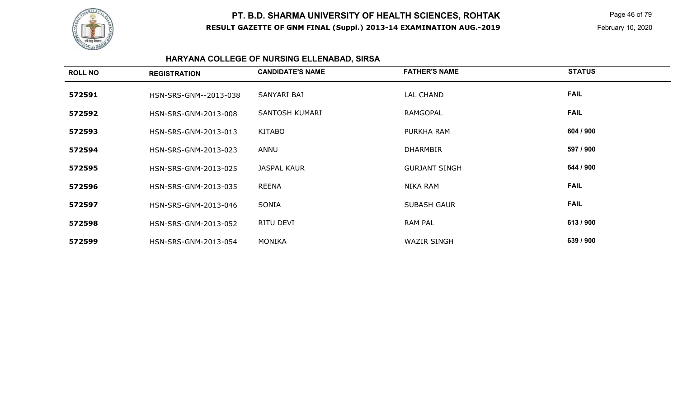

 Page 46 of 79 February 10, 2020

# **HARYANA COLLEGE OF NURSING ELLENABAD, SIRSA**

| <b>ROLL NO</b> | <b>REGISTRATION</b>   | <b>CANDIDATE'S NAME</b> | <b>FATHER'S NAME</b> | <b>STATUS</b> |
|----------------|-----------------------|-------------------------|----------------------|---------------|
| 572591         | HSN-SRS-GNM--2013-038 | SANYARI BAI             | LAL CHAND            | <b>FAIL</b>   |
| 572592         | HSN-SRS-GNM-2013-008  | SANTOSH KUMARI          | RAMGOPAL             | <b>FAIL</b>   |
| 572593         | HSN-SRS-GNM-2013-013  | <b>KITABO</b>           | PURKHA RAM           | 604 / 900     |
| 572594         | HSN-SRS-GNM-2013-023  | ANNU                    | <b>DHARMBIR</b>      | 597 / 900     |
| 572595         | HSN-SRS-GNM-2013-025  | <b>JASPAL KAUR</b>      | <b>GURJANT SINGH</b> | 644 / 900     |
| 572596         | HSN-SRS-GNM-2013-035  | <b>REENA</b>            | NIKA RAM             | <b>FAIL</b>   |
| 572597         | HSN-SRS-GNM-2013-046  | SONIA                   | <b>SUBASH GAUR</b>   | <b>FAIL</b>   |
| 572598         | HSN-SRS-GNM-2013-052  | RITU DEVI               | <b>RAM PAL</b>       | 613 / 900     |
| 572599         | HSN-SRS-GNM-2013-054  | MONIKA                  | <b>WAZIR SINGH</b>   | 639 / 900     |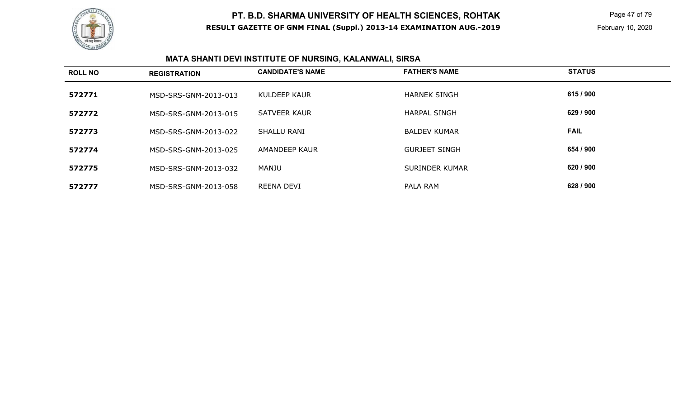

 Page 47 of 79 February 10, 2020

# **MATA SHANTI DEVI INSTITUTE OF NURSING, KALANWALI, SIRSA**

| <b>ROLL NO</b> | <b>REGISTRATION</b>  | <b>CANDIDATE'S NAME</b> | <b>FATHER'S NAME</b>  | <b>STATUS</b> |
|----------------|----------------------|-------------------------|-----------------------|---------------|
| 572771         | MSD-SRS-GNM-2013-013 | KULDEEP KAUR            | <b>HARNEK SINGH</b>   | 615 / 900     |
| 572772         | MSD-SRS-GNM-2013-015 | SATVEER KAUR            | <b>HARPAL SINGH</b>   | 629 / 900     |
| 572773         | MSD-SRS-GNM-2013-022 | <b>SHALLU RANI</b>      | <b>BALDEV KUMAR</b>   | <b>FAIL</b>   |
| 572774         | MSD-SRS-GNM-2013-025 | AMANDEEP KAUR           | <b>GURJEET SINGH</b>  | 654 / 900     |
| 572775         | MSD-SRS-GNM-2013-032 | MANJU                   | <b>SURINDER KUMAR</b> | 620 / 900     |
| 572777         | MSD-SRS-GNM-2013-058 | REENA DEVI              | PALA RAM              | 628 / 900     |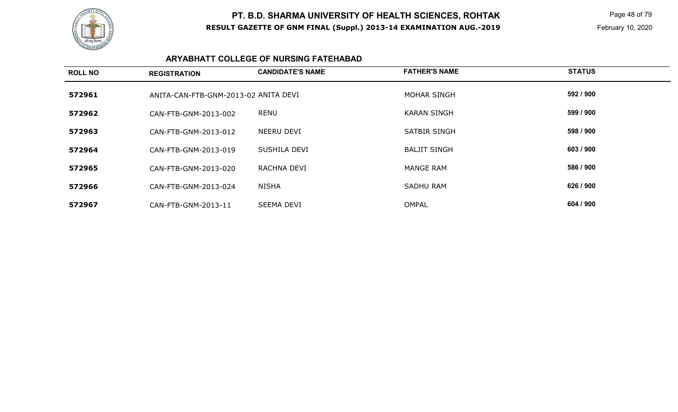

 Page 48 of 79 February 10, 2020

### **ARYABHATT COLLEGE OF NURSING FATEHABAD**

| <b>ROLL NO</b> | <b>REGISTRATION</b>                  | <b>CANDIDATE'S NAME</b> | <b>FATHER'S NAME</b> | <b>STATUS</b> |
|----------------|--------------------------------------|-------------------------|----------------------|---------------|
| 572961         | ANITA-CAN-FTB-GNM-2013-02 ANITA DEVI |                         | <b>MOHAR SINGH</b>   | 592 / 900     |
| 572962         | CAN-FTB-GNM-2013-002                 | <b>RENU</b>             | <b>KARAN SINGH</b>   | 599 / 900     |
| 572963         | CAN-FTB-GNM-2013-012                 | NEERU DEVI              | <b>SATBIR SINGH</b>  | 598 / 900     |
| 572964         | CAN-FTB-GNM-2013-019                 | SUSHILA DEVI            | <b>BALJIT SINGH</b>  | 603 / 900     |
| 572965         | CAN-FTB-GNM-2013-020                 | RACHNA DEVI             | <b>MANGE RAM</b>     | 586 / 900     |
| 572966         | CAN-FTB-GNM-2013-024                 | <b>NISHA</b>            | <b>SADHU RAM</b>     | 626 / 900     |
| 572967         | CAN-FTB-GNM-2013-11                  | SEEMA DEVI              | <b>OMPAL</b>         | 604 / 900     |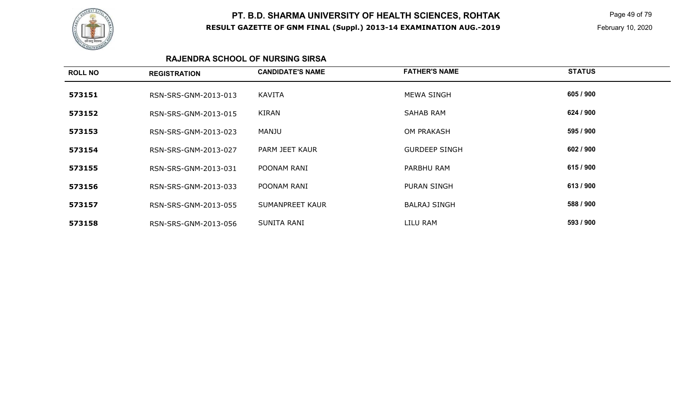

 Page 49 of 79 February 10, 2020

#### **RAJENDRA SCHOOL OF NURSING SIRSA**

| 605 / 900<br>KAVITA<br>MEWA SINGH<br>573151<br>RSN-SRS-GNM-2013-013<br>624 / 900<br>KIRAN<br>SAHAB RAM<br>573152<br>RSN-SRS-GNM-2013-015<br>595 / 900<br><b>OM PRAKASH</b><br>MANJU<br>573153<br>RSN-SRS-GNM-2013-023<br>602 / 900<br>573154<br>PARM JEET KAUR<br><b>GURDEEP SINGH</b><br>RSN-SRS-GNM-2013-027<br>615 / 900<br>POONAM RANI<br>PARBHU RAM<br>573155<br>RSN-SRS-GNM-2013-031<br>613/900<br>573156<br>POONAM RANI<br>PURAN SINGH<br>RSN-SRS-GNM-2013-033<br>588 / 900<br><b>SUMANPREET KAUR</b><br><b>BALRAJ SINGH</b><br>573157<br>RSN-SRS-GNM-2013-055<br>593 / 900<br>LILU RAM<br>SUNITA RANI<br>573158<br>RSN-SRS-GNM-2013-056 | <b>ROLL NO</b> | <b>REGISTRATION</b> | <b>CANDIDATE'S NAME</b> | <b>FATHER'S NAME</b> | <b>STATUS</b> |
|-------------------------------------------------------------------------------------------------------------------------------------------------------------------------------------------------------------------------------------------------------------------------------------------------------------------------------------------------------------------------------------------------------------------------------------------------------------------------------------------------------------------------------------------------------------------------------------------------------------------------------------------------|----------------|---------------------|-------------------------|----------------------|---------------|
|                                                                                                                                                                                                                                                                                                                                                                                                                                                                                                                                                                                                                                                 |                |                     |                         |                      |               |
|                                                                                                                                                                                                                                                                                                                                                                                                                                                                                                                                                                                                                                                 |                |                     |                         |                      |               |
|                                                                                                                                                                                                                                                                                                                                                                                                                                                                                                                                                                                                                                                 |                |                     |                         |                      |               |
|                                                                                                                                                                                                                                                                                                                                                                                                                                                                                                                                                                                                                                                 |                |                     |                         |                      |               |
|                                                                                                                                                                                                                                                                                                                                                                                                                                                                                                                                                                                                                                                 |                |                     |                         |                      |               |
|                                                                                                                                                                                                                                                                                                                                                                                                                                                                                                                                                                                                                                                 |                |                     |                         |                      |               |
|                                                                                                                                                                                                                                                                                                                                                                                                                                                                                                                                                                                                                                                 |                |                     |                         |                      |               |
|                                                                                                                                                                                                                                                                                                                                                                                                                                                                                                                                                                                                                                                 |                |                     |                         |                      |               |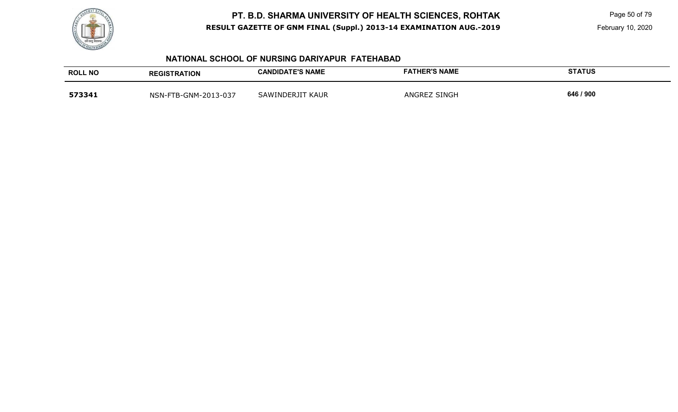

Page 50 of 79

February 10, 2020

#### **NATIONAL SCHOOL OF NURSING DARIYAPUR FATEHABAD**

| <b>ROLL NO</b> | <b>REGISTRATION</b>  | <b>CANDIDATE'S NAME</b> | <b>FATHER'S NAME</b> | <b>STATUS</b> |
|----------------|----------------------|-------------------------|----------------------|---------------|
| 573341         | NSN-FTB-GNM-2013-037 | SAWINDERJIT KAUR        | ANGREZ SINGH         | 646 / 900     |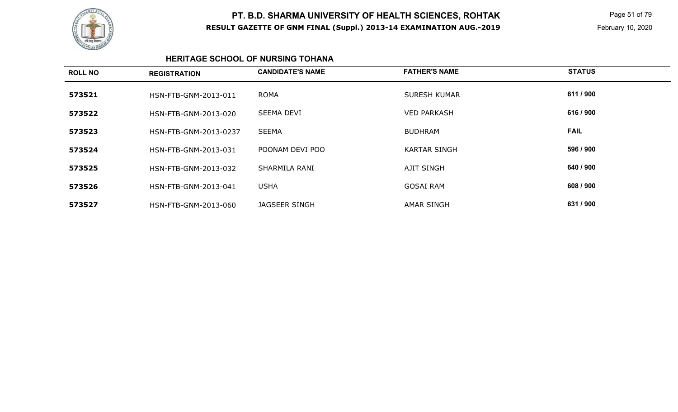

 Page 51 of 79 February 10, 2020

### **HERITAGE SCHOOL OF NURSING TOHANA**

| <b>ROLL NO</b> | <b>REGISTRATION</b>   | <b>CANDIDATE'S NAME</b> | <b>FATHER'S NAME</b> | <b>STATUS</b> |
|----------------|-----------------------|-------------------------|----------------------|---------------|
| 573521         | HSN-FTB-GNM-2013-011  | <b>ROMA</b>             | <b>SURESH KUMAR</b>  | 611 / 900     |
| 573522         | HSN-FTB-GNM-2013-020  | <b>SEEMA DEVI</b>       | <b>VED PARKASH</b>   | 616 / 900     |
| 573523         | HSN-FTB-GNM-2013-0237 | <b>SEEMA</b>            | <b>BUDHRAM</b>       | <b>FAIL</b>   |
| 573524         | HSN-FTB-GNM-2013-031  | POONAM DEVI POO         | <b>KARTAR SINGH</b>  | 596 / 900     |
| 573525         | HSN-FTB-GNM-2013-032  | SHARMILA RANI           | <b>AJIT SINGH</b>    | 640 / 900     |
| 573526         | HSN-FTB-GNM-2013-041  | <b>USHA</b>             | <b>GOSAI RAM</b>     | 608 / 900     |
| 573527         | HSN-FTB-GNM-2013-060  | JAGSEER SINGH           | <b>AMAR SINGH</b>    | 631 / 900     |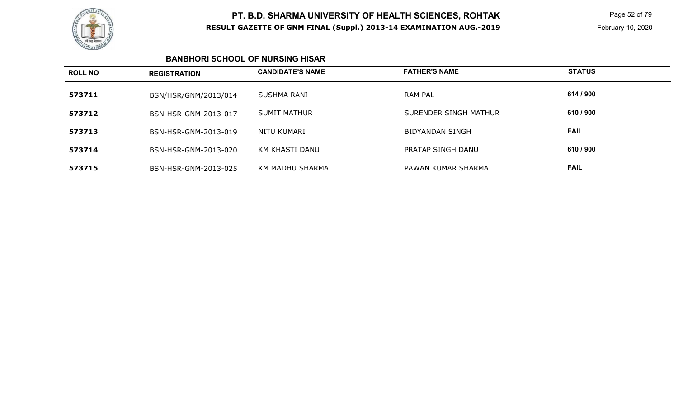

 Page 52 of 79 February 10, 2020

### **BANBHORI SCHOOL OF NURSING HISAR**

| <b>ROLL NO</b> | <b>REGISTRATION</b>  | <b>CANDIDATE'S NAME</b> | <b>FATHER'S NAME</b>  | <b>STATUS</b> |
|----------------|----------------------|-------------------------|-----------------------|---------------|
| 573711         | BSN/HSR/GNM/2013/014 | SUSHMA RANI             | RAM PAL               | 614 / 900     |
| 573712         | BSN-HSR-GNM-2013-017 | <b>SUMIT MATHUR</b>     | SURENDER SINGH MATHUR | 610 / 900     |
| 573713         | BSN-HSR-GNM-2013-019 | NITU KUMARI             | BIDYANDAN SINGH       | <b>FAIL</b>   |
| 573714         | BSN-HSR-GNM-2013-020 | KM KHASTI DANU          | PRATAP SINGH DANU     | 610 / 900     |
| 573715         | BSN-HSR-GNM-2013-025 | KM MADHU SHARMA         | PAWAN KUMAR SHARMA    | <b>FAIL</b>   |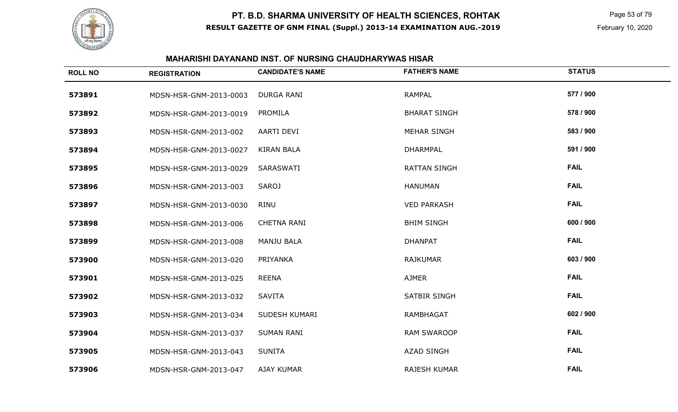

 Page 53 of 79 February 10, 2020

### **MAHARISHI DAYANAND INST. OF NURSING CHAUDHARYWAS HISAR**

| <b>ROLL NO</b> | <b>REGISTRATION</b>    | <b>CANDIDATE'S NAME</b> | <b>FATHER'S NAME</b> | <b>STATUS</b> |
|----------------|------------------------|-------------------------|----------------------|---------------|
| 573891         | MDSN-HSR-GNM-2013-0003 | <b>DURGA RANI</b>       | <b>RAMPAL</b>        | 577 / 900     |
| 573892         | MDSN-HSR-GNM-2013-0019 | PROMILA                 | <b>BHARAT SINGH</b>  | 578 / 900     |
| 573893         | MDSN-HSR-GNM-2013-002  | <b>AARTI DEVI</b>       | <b>MEHAR SINGH</b>   | 583 / 900     |
| 573894         | MDSN-HSR-GNM-2013-0027 | <b>KIRAN BALA</b>       | <b>DHARMPAL</b>      | 591 / 900     |
| 573895         | MDSN-HSR-GNM-2013-0029 | SARASWATI               | <b>RATTAN SINGH</b>  | <b>FAIL</b>   |
| 573896         | MDSN-HSR-GNM-2013-003  | <b>SAROJ</b>            | <b>HANUMAN</b>       | <b>FAIL</b>   |
| 573897         | MDSN-HSR-GNM-2013-0030 | <b>RINU</b>             | <b>VED PARKASH</b>   | <b>FAIL</b>   |
| 573898         | MDSN-HSR-GNM-2013-006  | <b>CHETNA RANI</b>      | <b>BHIM SINGH</b>    | 600 / 900     |
| 573899         | MDSN-HSR-GNM-2013-008  | <b>MANJU BALA</b>       | <b>DHANPAT</b>       | <b>FAIL</b>   |
| 573900         | MDSN-HSR-GNM-2013-020  | PRIYANKA                | <b>RAJKUMAR</b>      | 603 / 900     |
| 573901         | MDSN-HSR-GNM-2013-025  | <b>REENA</b>            | <b>AJMER</b>         | <b>FAIL</b>   |
| 573902         | MDSN-HSR-GNM-2013-032  | <b>SAVITA</b>           | SATBIR SINGH         | <b>FAIL</b>   |
| 573903         | MDSN-HSR-GNM-2013-034  | SUDESH KUMARI           | <b>RAMBHAGAT</b>     | 602 / 900     |
| 573904         | MDSN-HSR-GNM-2013-037  | <b>SUMAN RANI</b>       | <b>RAM SWAROOP</b>   | <b>FAIL</b>   |
| 573905         | MDSN-HSR-GNM-2013-043  | <b>SUNITA</b>           | <b>AZAD SINGH</b>    | <b>FAIL</b>   |
| 573906         | MDSN-HSR-GNM-2013-047  | <b>AJAY KUMAR</b>       | <b>RAJESH KUMAR</b>  | <b>FAIL</b>   |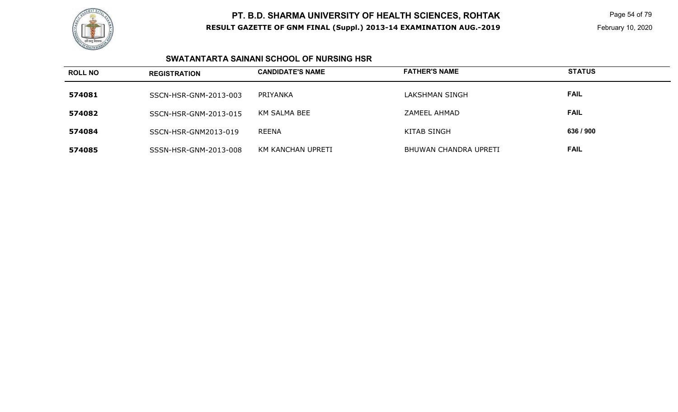

 Page 54 of 79 February 10, 2020

### **SWATANTARTA SAINANI SCHOOL OF NURSING HSR**

| <b>ROLL NO</b> | <b>REGISTRATION</b>   | <b>CANDIDATE'S NAME</b> | <b>FATHER'S NAME</b>  | <b>STATUS</b> |
|----------------|-----------------------|-------------------------|-----------------------|---------------|
| 574081         | SSCN-HSR-GNM-2013-003 | PRIYANKA                | LAKSHMAN SINGH        | <b>FAIL</b>   |
| 574082         | SSCN-HSR-GNM-2013-015 | KM SALMA BEE            | ZAMEEL AHMAD          | <b>FAIL</b>   |
| 574084         | SSCN-HSR-GNM2013-019  | <b>REENA</b>            | <b>KITAB SINGH</b>    | 636 / 900     |
| 574085         | SSSN-HSR-GNM-2013-008 | KM KANCHAN UPRETI       | BHUWAN CHANDRA UPRETI | <b>FAIL</b>   |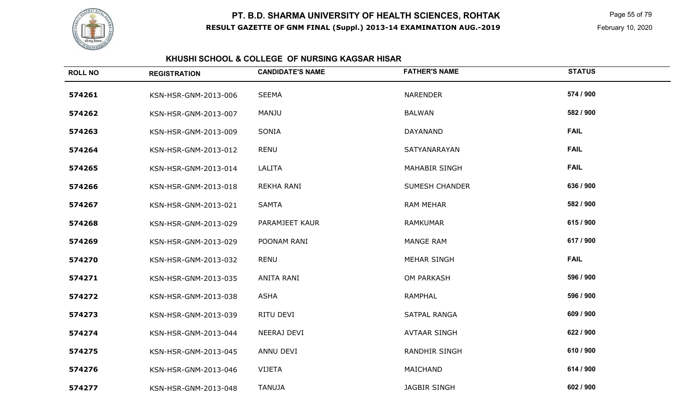

 Page 55 of 79 February 10, 2020

### **KHUSHI SCHOOL & COLLEGE OF NURSING KAGSAR HISAR**

| <b>ROLL NO</b> | <b>REGISTRATION</b>  | <b>CANDIDATE'S NAME</b> | <b>FATHER'S NAME</b>  | <b>STATUS</b> |
|----------------|----------------------|-------------------------|-----------------------|---------------|
| 574261         | KSN-HSR-GNM-2013-006 | <b>SEEMA</b>            | <b>NARENDER</b>       | 574 / 900     |
| 574262         | KSN-HSR-GNM-2013-007 | <b>MANJU</b>            | <b>BALWAN</b>         | 582 / 900     |
| 574263         | KSN-HSR-GNM-2013-009 | SONIA                   | <b>DAYANAND</b>       | <b>FAIL</b>   |
| 574264         | KSN-HSR-GNM-2013-012 | <b>RENU</b>             | SATYANARAYAN          | <b>FAIL</b>   |
| 574265         | KSN-HSR-GNM-2013-014 | LALITA                  | MAHABIR SINGH         | <b>FAIL</b>   |
| 574266         | KSN-HSR-GNM-2013-018 | REKHA RANI              | <b>SUMESH CHANDER</b> | 636 / 900     |
| 574267         | KSN-HSR-GNM-2013-021 | <b>SAMTA</b>            | <b>RAM MEHAR</b>      | 582 / 900     |
| 574268         | KSN-HSR-GNM-2013-029 | PARAMJEET KAUR          | <b>RAMKUMAR</b>       | 615 / 900     |
| 574269         | KSN-HSR-GNM-2013-029 | POONAM RANI             | <b>MANGE RAM</b>      | 617 / 900     |
| 574270         | KSN-HSR-GNM-2013-032 | <b>RENU</b>             | <b>MEHAR SINGH</b>    | <b>FAIL</b>   |
| 574271         | KSN-HSR-GNM-2013-035 | ANITA RANI              | OM PARKASH            | 596 / 900     |
| 574272         | KSN-HSR-GNM-2013-038 | <b>ASHA</b>             | <b>RAMPHAL</b>        | 596 / 900     |
| 574273         | KSN-HSR-GNM-2013-039 | RITU DEVI               | SATPAL RANGA          | 609 / 900     |
| 574274         | KSN-HSR-GNM-2013-044 | NEERAJ DEVI             | <b>AVTAAR SINGH</b>   | 622 / 900     |
| 574275         | KSN-HSR-GNM-2013-045 | ANNU DEVI               | RANDHIR SINGH         | 610 / 900     |
| 574276         | KSN-HSR-GNM-2013-046 | <b>VIJETA</b>           | MAICHAND              | 614 / 900     |
| 574277         | KSN-HSR-GNM-2013-048 | <b>TANUJA</b>           | <b>JAGBIR SINGH</b>   | 602 / 900     |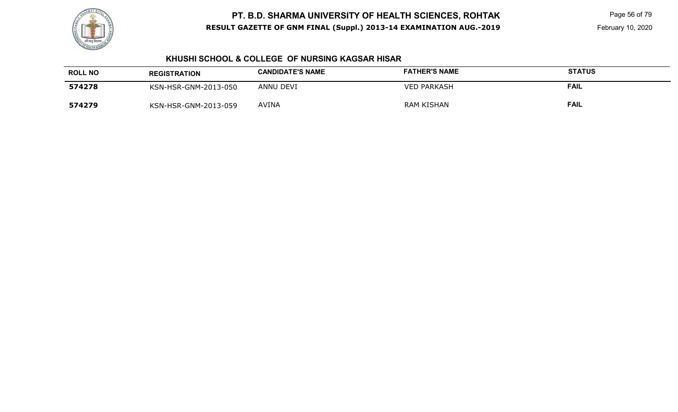

 Page 56 of 79 February 10, 2020

### **KHUSHI SCHOOL & COLLEGE OF NURSING KAGSAR HISAR**

| <b>ROLL NO</b> | <b>REGISTRATION</b>  | <b>CANDIDATE'S NAME</b> | <b>FATHER'S NAME</b> | <b>STATUS</b> |
|----------------|----------------------|-------------------------|----------------------|---------------|
| 574278         | KSN-HSR-GNM-2013-050 | ANNU DEVI               | <b>VED PARKASH</b>   | <b>FAIL</b>   |
| 574279         | KSN-HSR-GNM-2013-059 | AVINA                   | <b>RAM KISHAN</b>    | <b>FAIL</b>   |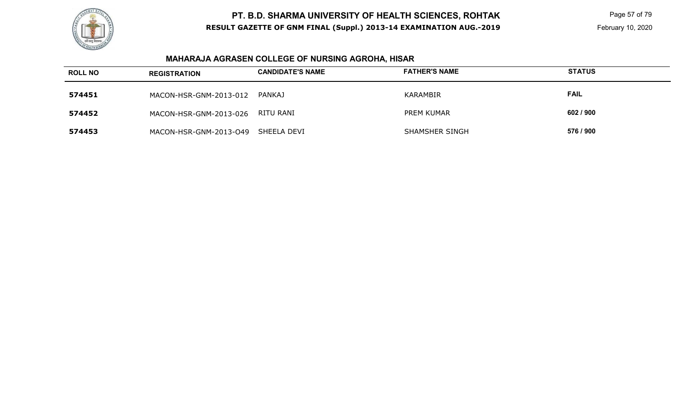

 Page 57 of 79 February 10, 2020

# **MAHARAJA AGRASEN COLLEGE OF NURSING AGROHA, HISAR**

| <b>ROLL NO</b> | <b>REGISTRATION</b>    | <b>CANDIDATE'S NAME</b> | <b>FATHER'S NAME</b>  | <b>STATUS</b> |
|----------------|------------------------|-------------------------|-----------------------|---------------|
| 574451         | MACON-HSR-GNM-2013-012 | <b>PANKAJ</b>           | KARAMBIR              | <b>FAIL</b>   |
| 574452         | MACON-HSR-GNM-2013-026 | RITU RANI               | <b>PREM KUMAR</b>     | 602 / 900     |
| 574453         | MACON-HSR-GNM-2013-049 | SHEELA DEVI             | <b>SHAMSHER SINGH</b> | 576 / 900     |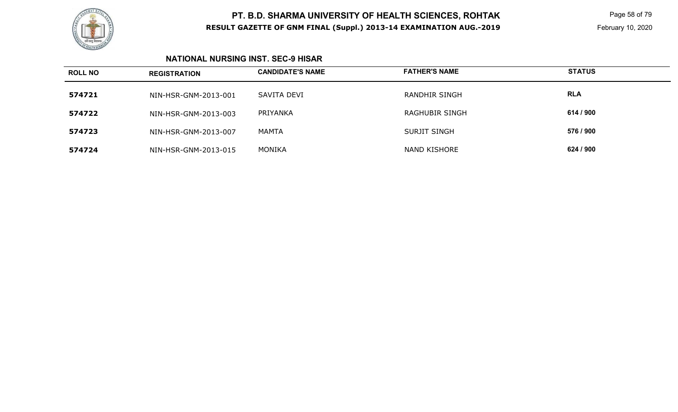

 Page 58 of 79 February 10, 2020

### **NATIONAL NURSING INST. SEC-9 HISAR**

| <b>ROLL NO</b> | <b>REGISTRATION</b>  | <b>CANDIDATE'S NAME</b> | <b>FATHER'S NAME</b>  | <b>STATUS</b> |
|----------------|----------------------|-------------------------|-----------------------|---------------|
| 574721         | NIN-HSR-GNM-2013-001 | SAVITA DEVI             | RANDHIR SINGH         | <b>RLA</b>    |
| 574722         | NIN-HSR-GNM-2013-003 | PRIYANKA                | <b>RAGHUBIR SINGH</b> | 614 / 900     |
| 574723         | NIN-HSR-GNM-2013-007 | MAMTA                   | <b>SURJIT SINGH</b>   | 576 / 900     |
| 574724         | NIN-HSR-GNM-2013-015 | MONIKA                  | <b>NAND KISHORE</b>   | 624 / 900     |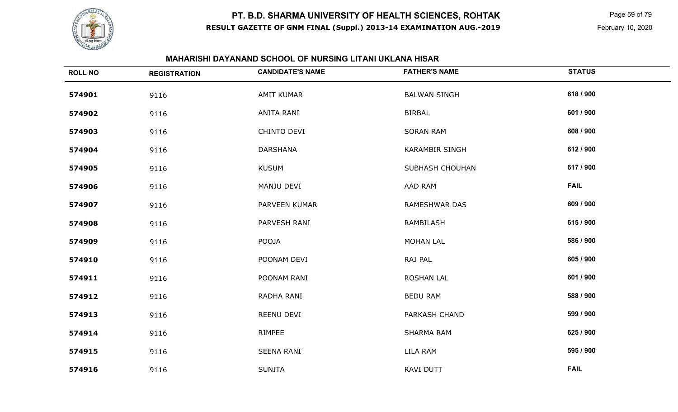

 Page 59 of 79 February 10, 2020

### **MAHARISHI DAYANAND SCHOOL OF NURSING LITANI UKLANA HISAR**

| <b>ROLL NO</b> | <b>REGISTRATION</b> | <b>CANDIDATE'S NAME</b> | <b>FATHER'S NAME</b>  | <b>STATUS</b> |
|----------------|---------------------|-------------------------|-----------------------|---------------|
| 574901         | 9116                | <b>AMIT KUMAR</b>       | <b>BALWAN SINGH</b>   | 618 / 900     |
| 574902         | 9116                | ANITA RANI              | <b>BIRBAL</b>         | 601 / 900     |
| 574903         | 9116                | CHINTO DEVI             | <b>SORAN RAM</b>      | 608 / 900     |
| 574904         | 9116                | <b>DARSHANA</b>         | <b>KARAMBIR SINGH</b> | 612 / 900     |
| 574905         | 9116                | <b>KUSUM</b>            | SUBHASH CHOUHAN       | 617 / 900     |
| 574906         | 9116                | MANJU DEVI              | AAD RAM               | <b>FAIL</b>   |
| 574907         | 9116                | PARVEEN KUMAR           | RAMESHWAR DAS         | 609 / 900     |
| 574908         | 9116                | PARVESH RANI            | RAMBILASH             | 615 / 900     |
| 574909         | 9116                | POOJA                   | <b>MOHAN LAL</b>      | 586 / 900     |
| 574910         | 9116                | POONAM DEVI             | RAJ PAL               | 605 / 900     |
| 574911         | 9116                | POONAM RANI             | <b>ROSHAN LAL</b>     | 601 / 900     |
| 574912         | 9116                | RADHA RANI              | <b>BEDU RAM</b>       | 588 / 900     |
| 574913         | 9116                | REENU DEVI              | PARKASH CHAND         | 599 / 900     |
| 574914         | 9116                | RIMPEE                  | SHARMA RAM            | 625 / 900     |
| 574915         | 9116                | <b>SEENA RANI</b>       | LILA RAM              | 595 / 900     |
| 574916         | 9116                | <b>SUNITA</b>           | RAVI DUTT             | <b>FAIL</b>   |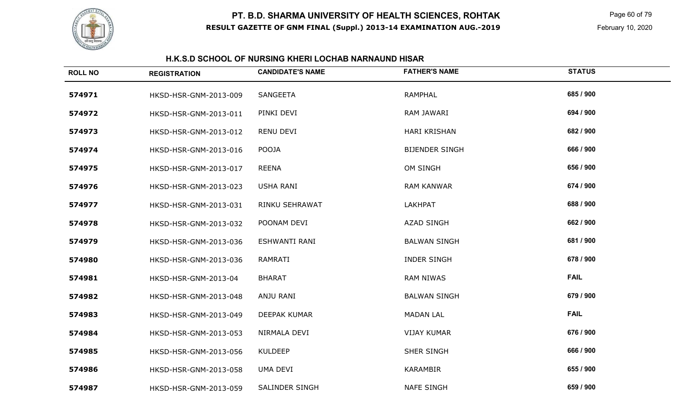

 Page 60 of 79 February 10, 2020

### **H.K.S.D SCHOOL OF NURSING KHERI LOCHAB NARNAUND HISAR**

| <b>ROLL NO</b> | <b>REGISTRATION</b>   | <b>CANDIDATE'S NAME</b> | <b>FATHER'S NAME</b>  | <b>STATUS</b> |
|----------------|-----------------------|-------------------------|-----------------------|---------------|
| 574971         | HKSD-HSR-GNM-2013-009 | <b>SANGEETA</b>         | <b>RAMPHAL</b>        | 685 / 900     |
| 574972         | HKSD-HSR-GNM-2013-011 | PINKI DEVI              | RAM JAWARI            | 694 / 900     |
| 574973         | HKSD-HSR-GNM-2013-012 | RENU DEVI               | HARI KRISHAN          | 682 / 900     |
| 574974         | HKSD-HSR-GNM-2013-016 | POOJA                   | <b>BIJENDER SINGH</b> | 666 / 900     |
| 574975         | HKSD-HSR-GNM-2013-017 | <b>REENA</b>            | OM SINGH              | 656 / 900     |
| 574976         | HKSD-HSR-GNM-2013-023 | <b>USHA RANI</b>        | <b>RAM KANWAR</b>     | 674 / 900     |
| 574977         | HKSD-HSR-GNM-2013-031 | RINKU SEHRAWAT          | <b>LAKHPAT</b>        | 688 / 900     |
| 574978         | HKSD-HSR-GNM-2013-032 | POONAM DEVI             | <b>AZAD SINGH</b>     | 662 / 900     |
| 574979         | HKSD-HSR-GNM-2013-036 | <b>ESHWANTI RANI</b>    | <b>BALWAN SINGH</b>   | 681 / 900     |
| 574980         | HKSD-HSR-GNM-2013-036 | <b>RAMRATI</b>          | <b>INDER SINGH</b>    | 678 / 900     |
| 574981         | HKSD-HSR-GNM-2013-04  | <b>BHARAT</b>           | <b>RAM NIWAS</b>      | <b>FAIL</b>   |
| 574982         | HKSD-HSR-GNM-2013-048 | ANJU RANI               | <b>BALWAN SINGH</b>   | 679 / 900     |
| 574983         | HKSD-HSR-GNM-2013-049 | <b>DEEPAK KUMAR</b>     | <b>MADAN LAL</b>      | <b>FAIL</b>   |
| 574984         | HKSD-HSR-GNM-2013-053 | NIRMALA DEVI            | <b>VIJAY KUMAR</b>    | 676 / 900     |
| 574985         | HKSD-HSR-GNM-2013-056 | <b>KULDEEP</b>          | SHER SINGH            | 666 / 900     |
| 574986         | HKSD-HSR-GNM-2013-058 | <b>UMA DEVI</b>         | <b>KARAMBIR</b>       | 655 / 900     |
| 574987         | HKSD-HSR-GNM-2013-059 | <b>SALINDER SINGH</b>   | <b>NAFE SINGH</b>     | 659 / 900     |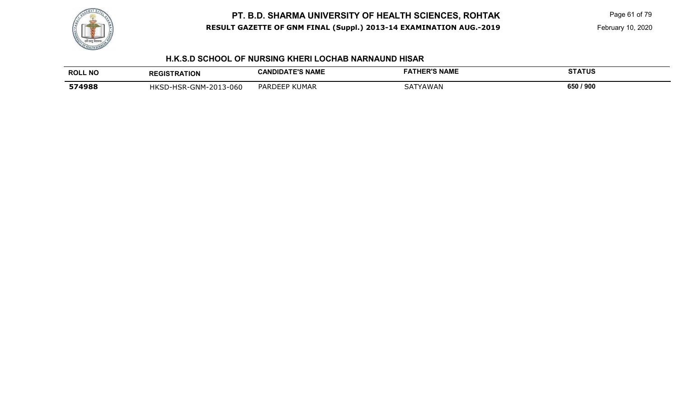

 Page 61 of 79 February 10, 2020

### **H.K.S.D SCHOOL OF NURSING KHERI LOCHAB NARNAUND HISAR**

| <b>ROLL NO</b> | <b>REGISTRATION</b>   | <b>CANDIDATE'S NAME</b> | <b>FATUEDIO MAME</b><br>IHER.<br>; NAME | <b>STATUS</b> |
|----------------|-----------------------|-------------------------|-----------------------------------------|---------------|
| 574988         | HKSD-HSR-GNM-2013-060 | <b>PARDEEP KUMAR</b>    | <b>ATYAWAN</b><br>5A.                   | 650 / 900     |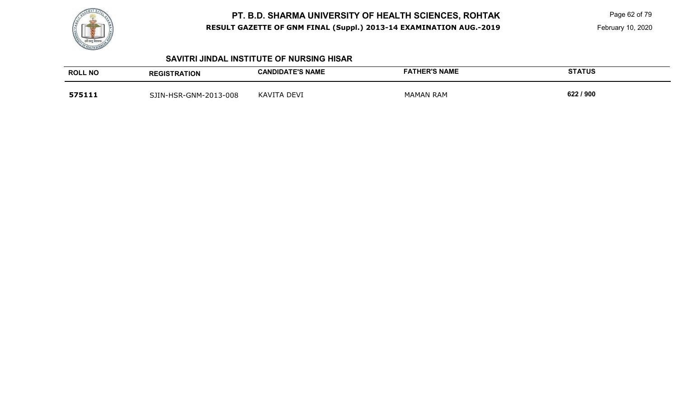

 Page 62 of 79 February 10, 2020

#### **SAVITRI JINDAL INSTITUTE OF NURSING HISAR**

| <b>ROLL NO</b> | <b>REGISTRATION</b>   | <b>CANDIDATE'S NAME</b> | <b>FATHER'S NAME</b> | <b>STATUS</b> |
|----------------|-----------------------|-------------------------|----------------------|---------------|
| 575111         | SJIN-HSR-GNM-2013-008 | KAVITA<br>. DEVI        | <b>MAMAN RAM</b>     | 622 / 900     |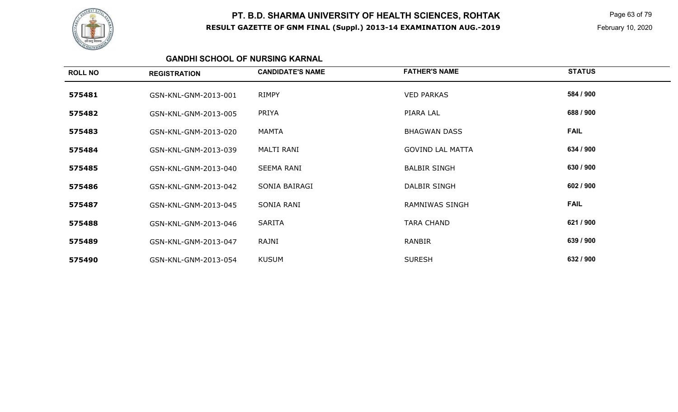

 Page 63 of 79 February 10, 2020

### **GANDHI SCHOOL OF NURSING KARNAL**

| <b>ROLL NO</b> | <b>REGISTRATION</b>  | <b>CANDIDATE'S NAME</b> | <b>FATHER'S NAME</b>    | <b>STATUS</b> |
|----------------|----------------------|-------------------------|-------------------------|---------------|
| 575481         | GSN-KNL-GNM-2013-001 | <b>RIMPY</b>            | <b>VED PARKAS</b>       | 584 / 900     |
| 575482         | GSN-KNL-GNM-2013-005 | PRIYA                   | PIARA LAL               | 688 / 900     |
| 575483         | GSN-KNL-GNM-2013-020 | MAMTA                   | <b>BHAGWAN DASS</b>     | <b>FAIL</b>   |
| 575484         | GSN-KNL-GNM-2013-039 | <b>MALTI RANI</b>       | <b>GOVIND LAL MATTA</b> | 634 / 900     |
| 575485         | GSN-KNL-GNM-2013-040 | <b>SEEMA RANI</b>       | <b>BALBIR SINGH</b>     | 630 / 900     |
| 575486         | GSN-KNL-GNM-2013-042 | SONIA BAIRAGI           | DALBIR SINGH            | 602 / 900     |
| 575487         | GSN-KNL-GNM-2013-045 | SONIA RANI              | <b>RAMNIWAS SINGH</b>   | <b>FAIL</b>   |
| 575488         | GSN-KNL-GNM-2013-046 | <b>SARITA</b>           | <b>TARA CHAND</b>       | 621 / 900     |
| 575489         | GSN-KNL-GNM-2013-047 | RAJNI                   | RANBIR                  | 639 / 900     |
| 575490         | GSN-KNL-GNM-2013-054 | <b>KUSUM</b>            | <b>SURESH</b>           | 632 / 900     |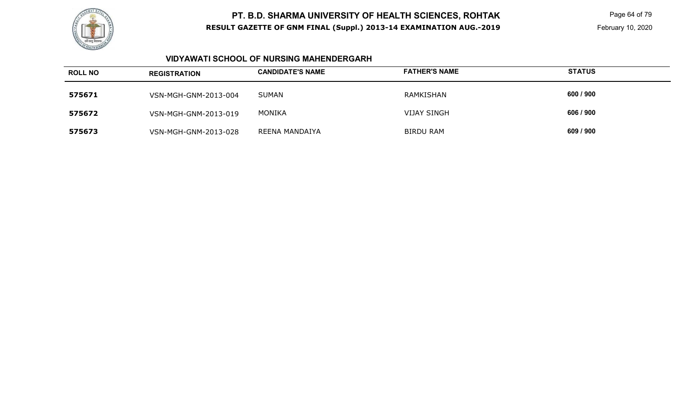

 Page 64 of 79 February 10, 2020

### **VIDYAWATI SCHOOL OF NURSING MAHENDERGARH**

| <b>ROLL NO</b> | <b>REGISTRATION</b>  | <b>CANDIDATE'S NAME</b> | <b>FATHER'S NAME</b> | <b>STATUS</b> |
|----------------|----------------------|-------------------------|----------------------|---------------|
| 575671         | VSN-MGH-GNM-2013-004 | SUMAN                   | RAMKISHAN            | 600 / 900     |
| 575672         | VSN-MGH-GNM-2013-019 | <b>MONIKA</b>           | <b>VIJAY SINGH</b>   | 606 / 900     |
| 575673         | VSN-MGH-GNM-2013-028 | REENA MANDAIYA          | <b>BIRDU RAM</b>     | 609 / 900     |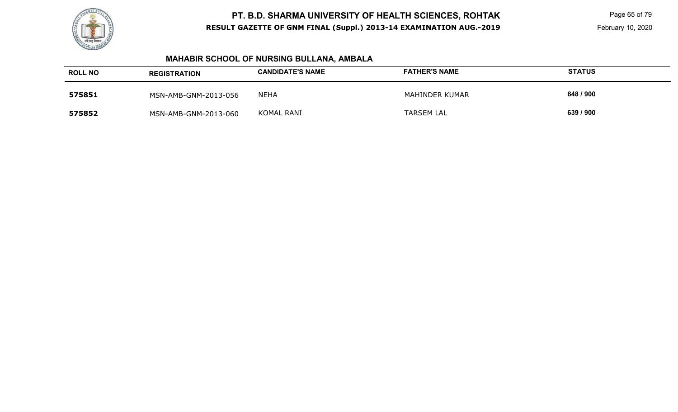

 Page 65 of 79 February 10, 2020

# **MAHABIR SCHOOL OF NURSING BULLANA, AMBALA**

| <b>ROLL NO</b> | <b>REGISTRATION</b>  | <b>CANDIDATE'S NAME</b> | <b>FATHER'S NAME</b> | <b>STATUS</b> |
|----------------|----------------------|-------------------------|----------------------|---------------|
| 575851         | MSN-AMB-GNM-2013-056 | NEHA                    | MAHINDER KUMAR       | 648 / 900     |
| 575852         | MSN-AMB-GNM-2013-060 | KOMAL RANI              | <b>TARSEM LAL</b>    | 639 / 900     |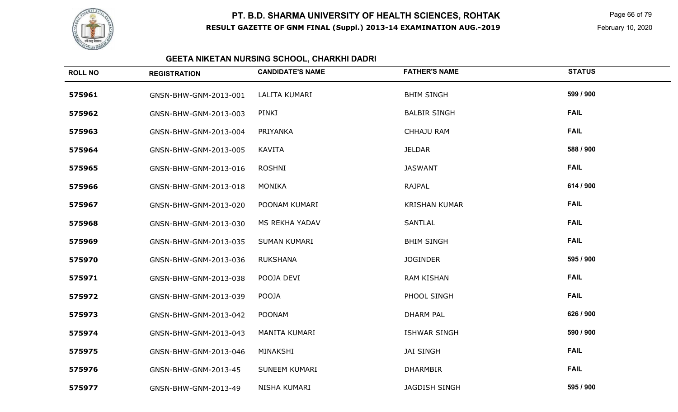

 Page 66 of 79 February 10, 2020

#### **GEETA NIKETAN NURSING SCHOOL, CHARKHI DADRI**

| <b>ROLL NO</b> | <b>REGISTRATION</b>   | <b>CANDIDATE'S NAME</b> | <b>FATHER'S NAME</b> | <b>STATUS</b> |
|----------------|-----------------------|-------------------------|----------------------|---------------|
| 575961         | GNSN-BHW-GNM-2013-001 | LALITA KUMARI           | <b>BHIM SINGH</b>    | 599 / 900     |
| 575962         | GNSN-BHW-GNM-2013-003 | PINKI                   | <b>BALBIR SINGH</b>  | <b>FAIL</b>   |
| 575963         | GNSN-BHW-GNM-2013-004 | PRIYANKA                | <b>CHHAJU RAM</b>    | <b>FAIL</b>   |
| 575964         | GNSN-BHW-GNM-2013-005 | KAVITA                  | <b>JELDAR</b>        | 588 / 900     |
| 575965         | GNSN-BHW-GNM-2013-016 | <b>ROSHNI</b>           | <b>JASWANT</b>       | <b>FAIL</b>   |
| 575966         | GNSN-BHW-GNM-2013-018 | <b>MONIKA</b>           | <b>RAJPAL</b>        | 614 / 900     |
| 575967         | GNSN-BHW-GNM-2013-020 | POONAM KUMARI           | <b>KRISHAN KUMAR</b> | <b>FAIL</b>   |
| 575968         | GNSN-BHW-GNM-2013-030 | MS REKHA YADAV          | <b>SANTLAL</b>       | <b>FAIL</b>   |
| 575969         | GNSN-BHW-GNM-2013-035 | <b>SUMAN KUMARI</b>     | <b>BHIM SINGH</b>    | <b>FAIL</b>   |
| 575970         | GNSN-BHW-GNM-2013-036 | <b>RUKSHANA</b>         | <b>JOGINDER</b>      | 595 / 900     |
| 575971         | GNSN-BHW-GNM-2013-038 | POOJA DEVI              | <b>RAM KISHAN</b>    | <b>FAIL</b>   |
| 575972         | GNSN-BHW-GNM-2013-039 | <b>POOJA</b>            | PHOOL SINGH          | <b>FAIL</b>   |
| 575973         | GNSN-BHW-GNM-2013-042 | <b>POONAM</b>           | <b>DHARM PAL</b>     | 626 / 900     |
| 575974         | GNSN-BHW-GNM-2013-043 | MANITA KUMARI           | <b>ISHWAR SINGH</b>  | 590 / 900     |
| 575975         | GNSN-BHW-GNM-2013-046 | MINAKSHI                | <b>JAI SINGH</b>     | <b>FAIL</b>   |
| 575976         | GNSN-BHW-GNM-2013-45  | <b>SUNEEM KUMARI</b>    | <b>DHARMBIR</b>      | <b>FAIL</b>   |
| 575977         | GNSN-BHW-GNM-2013-49  | NISHA KUMARI            | <b>JAGDISH SINGH</b> | 595 / 900     |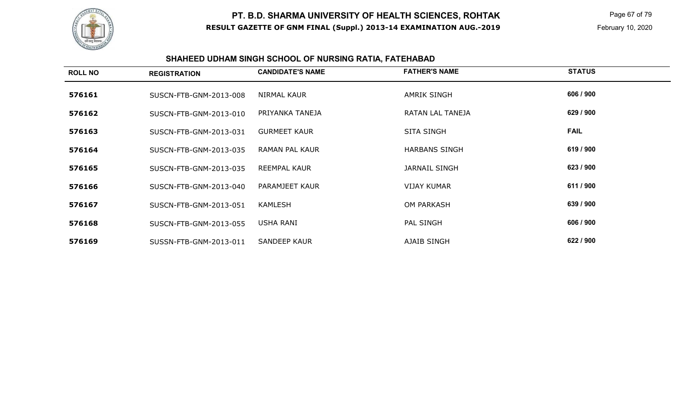

 Page 67 of 79 February 10, 2020

# **SHAHEED UDHAM SINGH SCHOOL OF NURSING RATIA, FATEHABAD**

| <b>ROLL NO</b> | <b>REGISTRATION</b>    | <b>CANDIDATE'S NAME</b> | <b>FATHER'S NAME</b> | <b>STATUS</b> |
|----------------|------------------------|-------------------------|----------------------|---------------|
| 576161         | SUSCN-FTB-GNM-2013-008 | <b>NIRMAL KAUR</b>      | <b>AMRIK SINGH</b>   | 606 / 900     |
| 576162         | SUSCN-FTB-GNM-2013-010 | PRIYANKA TANEJA         | RATAN LAL TANEJA     | 629 / 900     |
| 576163         | SUSCN-FTB-GNM-2013-031 | <b>GURMEET KAUR</b>     | <b>SITA SINGH</b>    | <b>FAIL</b>   |
| 576164         | SUSCN-FTB-GNM-2013-035 | RAMAN PAL KAUR          | <b>HARBANS SINGH</b> | 619 / 900     |
| 576165         | SUSCN-FTB-GNM-2013-035 | REEMPAL KAUR            | <b>JARNAIL SINGH</b> | 623 / 900     |
| 576166         | SUSCN-FTB-GNM-2013-040 | PARAMJEET KAUR          | <b>VIJAY KUMAR</b>   | 611 / 900     |
| 576167         | SUSCN-FTB-GNM-2013-051 | <b>KAMLESH</b>          | <b>OM PARKASH</b>    | 639 / 900     |
| 576168         | SUSCN-FTB-GNM-2013-055 | USHA RANI               | PAL SINGH            | 606 / 900     |
| 576169         | SUSSN-FTB-GNM-2013-011 | <b>SANDEEP KAUR</b>     | AJAIB SINGH          | 622 / 900     |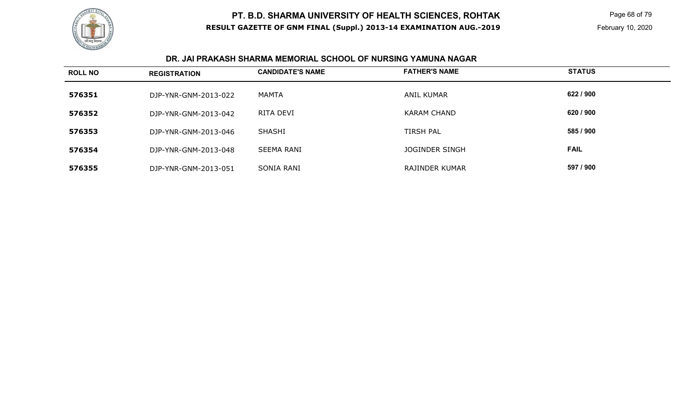

 Page 68 of 79 February 10, 2020

#### **DR. JAI PRAKASH SHARMA MEMORIAL SCHOOL OF NURSING YAMUNA NAGAR**

| <b>ROLL NO</b> | <b>REGISTRATION</b>  | <b>CANDIDATE'S NAME</b> | <b>FATHER'S NAME</b>  | <b>STATUS</b> |
|----------------|----------------------|-------------------------|-----------------------|---------------|
| 576351         | DJP-YNR-GNM-2013-022 | MAMTA                   | <b>ANIL KUMAR</b>     | 622 / 900     |
| 576352         | DJP-YNR-GNM-2013-042 | RITA DEVI               | KARAM CHAND           | 620 / 900     |
| 576353         | DJP-YNR-GNM-2013-046 | <b>SHASHI</b>           | <b>TIRSH PAL</b>      | 585 / 900     |
| 576354         | DJP-YNR-GNM-2013-048 | <b>SEEMA RANI</b>       | <b>JOGINDER SINGH</b> | <b>FAIL</b>   |
| 576355         | DJP-YNR-GNM-2013-051 | SONIA RANI              | RAJINDER KUMAR        | 597 / 900     |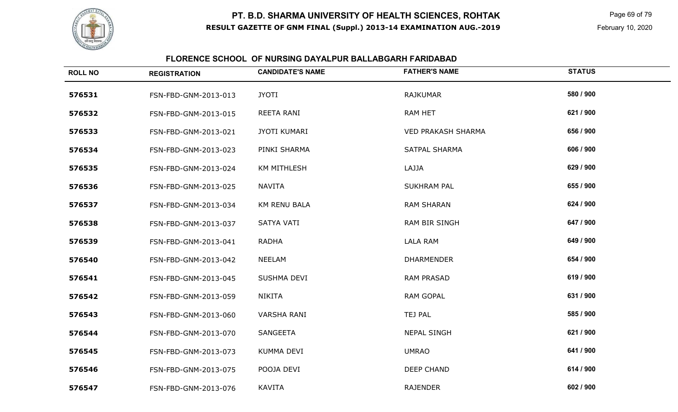

 Page 69 of 79 February 10, 2020

### **FLORENCE SCHOOL OF NURSING DAYALPUR BALLABGARH FARIDABAD**

| <b>ROLL NO</b> | <b>REGISTRATION</b>  | <b>CANDIDATE'S NAME</b> | <b>FATHER'S NAME</b>      | <b>STATUS</b> |
|----------------|----------------------|-------------------------|---------------------------|---------------|
| 576531         | FSN-FBD-GNM-2013-013 | <b>JYOTI</b>            | <b>RAJKUMAR</b>           | 580 / 900     |
| 576532         | FSN-FBD-GNM-2013-015 | REETA RANI              | <b>RAM HET</b>            | 621 / 900     |
| 576533         | FSN-FBD-GNM-2013-021 | <b>JYOTI KUMARI</b>     | <b>VED PRAKASH SHARMA</b> | 656 / 900     |
| 576534         | FSN-FBD-GNM-2013-023 | PINKI SHARMA            | <b>SATPAL SHARMA</b>      | 606 / 900     |
| 576535         | FSN-FBD-GNM-2013-024 | <b>KM MITHLESH</b>      | LAJJA                     | 629 / 900     |
| 576536         | FSN-FBD-GNM-2013-025 | <b>NAVITA</b>           | <b>SUKHRAM PAL</b>        | 655 / 900     |
| 576537         | FSN-FBD-GNM-2013-034 | KM RENU BALA            | <b>RAM SHARAN</b>         | 624 / 900     |
| 576538         | FSN-FBD-GNM-2013-037 | SATYA VATI              | <b>RAM BIR SINGH</b>      | 647 / 900     |
| 576539         | FSN-FBD-GNM-2013-041 | <b>RADHA</b>            | <b>LALA RAM</b>           | 649 / 900     |
| 576540         | FSN-FBD-GNM-2013-042 | <b>NEELAM</b>           | <b>DHARMENDER</b>         | 654 / 900     |
| 576541         | FSN-FBD-GNM-2013-045 | SUSHMA DEVI             | <b>RAM PRASAD</b>         | 619 / 900     |
| 576542         | FSN-FBD-GNM-2013-059 | <b>NIKITA</b>           | <b>RAM GOPAL</b>          | 631 / 900     |
| 576543         | FSN-FBD-GNM-2013-060 | <b>VARSHA RANI</b>      | TEJ PAL                   | 585 / 900     |
| 576544         | FSN-FBD-GNM-2013-070 | <b>SANGEETA</b>         | <b>NEPAL SINGH</b>        | 621 / 900     |
| 576545         | FSN-FBD-GNM-2013-073 | KUMMA DEVI              | <b>UMRAO</b>              | 641 / 900     |
| 576546         | FSN-FBD-GNM-2013-075 | POOJA DEVI              | <b>DEEP CHAND</b>         | 614 / 900     |
| 576547         | FSN-FBD-GNM-2013-076 | <b>KAVITA</b>           | <b>RAJENDER</b>           | 602 / 900     |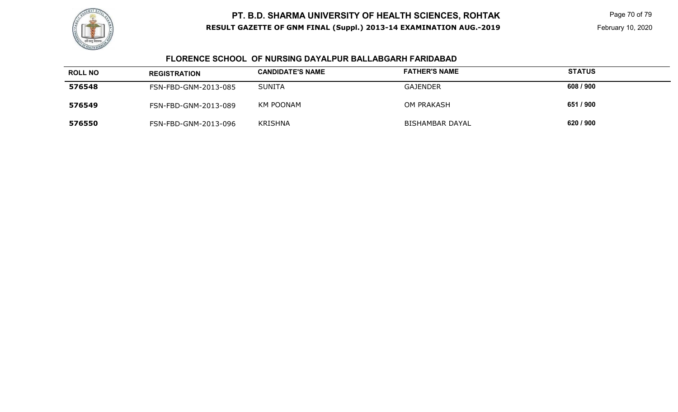

 Page 70 of 79 February 10, 2020

### **FLORENCE SCHOOL OF NURSING DAYALPUR BALLABGARH FARIDABAD**

| <b>ROLL NO</b> | <b>REGISTRATION</b>  | <b>CANDIDATE'S NAME</b> | <b>FATHER'S NAME</b>   | <b>STATUS</b> |
|----------------|----------------------|-------------------------|------------------------|---------------|
| 576548         | FSN-FBD-GNM-2013-085 | <b>SUNITA</b>           | <b>GAJENDER</b>        | 608 / 900     |
| 576549         | FSN-FBD-GNM-2013-089 | KM POONAM               | <b>OM PRAKASH</b>      | 651 / 900     |
| 576550         | FSN-FBD-GNM-2013-096 | <b>KRISHNA</b>          | <b>BISHAMBAR DAYAL</b> | 620 / 900     |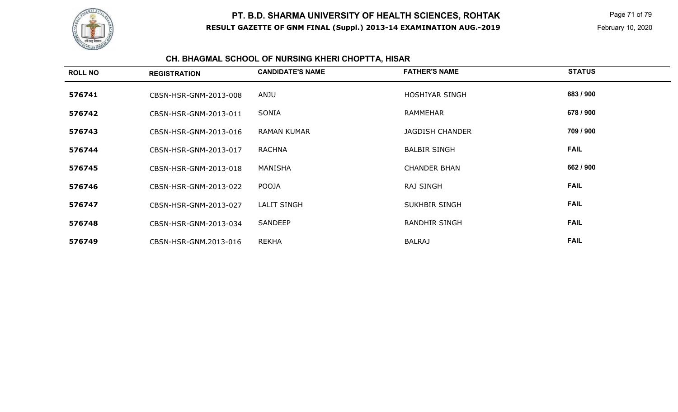

 Page 71 of 79 February 10, 2020

# **CH. BHAGMAL SCHOOL OF NURSING KHERI CHOPTTA, HISAR**

| <b>ROLL NO</b> | <b>REGISTRATION</b>   | <b>CANDIDATE'S NAME</b> | <b>FATHER'S NAME</b>   | <b>STATUS</b> |
|----------------|-----------------------|-------------------------|------------------------|---------------|
| 576741         | CBSN-HSR-GNM-2013-008 | ANJU                    | HOSHIYAR SINGH         | 683 / 900     |
| 576742         | CBSN-HSR-GNM-2013-011 | SONIA                   | <b>RAMMEHAR</b>        | 678 / 900     |
| 576743         | CBSN-HSR-GNM-2013-016 | <b>RAMAN KUMAR</b>      | <b>JAGDISH CHANDER</b> | 709 / 900     |
| 576744         | CBSN-HSR-GNM-2013-017 | <b>RACHNA</b>           | <b>BALBIR SINGH</b>    | <b>FAIL</b>   |
| 576745         | CBSN-HSR-GNM-2013-018 | MANISHA                 | <b>CHANDER BHAN</b>    | 662 / 900     |
| 576746         | CBSN-HSR-GNM-2013-022 | <b>POOJA</b>            | <b>RAJ SINGH</b>       | <b>FAIL</b>   |
| 576747         | CBSN-HSR-GNM-2013-027 | <b>LALIT SINGH</b>      | SUKHBIR SINGH          | <b>FAIL</b>   |
| 576748         | CBSN-HSR-GNM-2013-034 | <b>SANDEEP</b>          | RANDHIR SINGH          | <b>FAIL</b>   |
| 576749         | CBSN-HSR-GNM.2013-016 | <b>REKHA</b>            | <b>BALRAJ</b>          | <b>FAIL</b>   |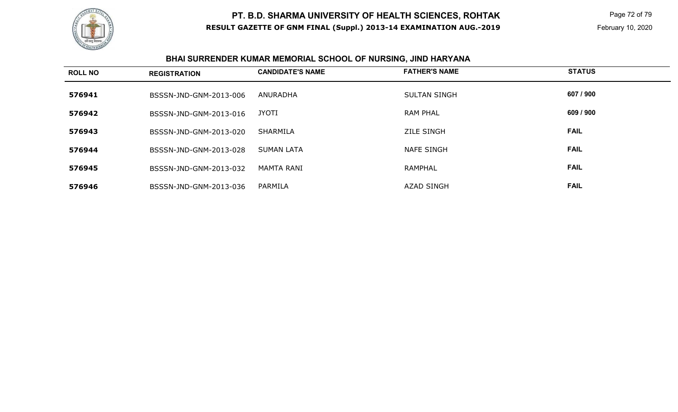

 Page 72 of 79 February 10, 2020

# **BHAI SURRENDER KUMAR MEMORIAL SCHOOL OF NURSING, JIND HARYANA**

| <b>ROLL NO</b> | <b>REGISTRATION</b>    | <b>CANDIDATE'S NAME</b> | <b>FATHER'S NAME</b> | <b>STATUS</b> |
|----------------|------------------------|-------------------------|----------------------|---------------|
| 576941         | BSSSN-JND-GNM-2013-006 | ANURADHA                | <b>SULTAN SINGH</b>  | 607 / 900     |
| 576942         | BSSSN-JND-GNM-2013-016 | <b>JYOTI</b>            | <b>RAM PHAL</b>      | 609 / 900     |
| 576943         | BSSSN-JND-GNM-2013-020 | <b>SHARMILA</b>         | <b>ZILE SINGH</b>    | <b>FAIL</b>   |
| 576944         | BSSSN-JND-GNM-2013-028 | <b>SUMAN LATA</b>       | <b>NAFE SINGH</b>    | <b>FAIL</b>   |
| 576945         | BSSSN-JND-GNM-2013-032 | MAMTA RANI              | <b>RAMPHAL</b>       | <b>FAIL</b>   |
| 576946         | BSSSN-JND-GNM-2013-036 | PARMILA                 | <b>AZAD SINGH</b>    | <b>FAIL</b>   |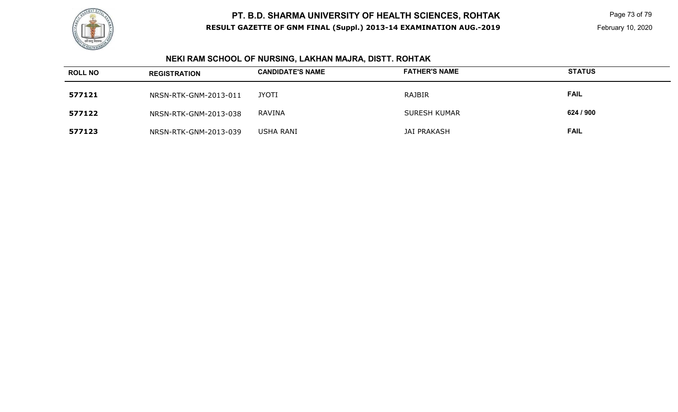

 Page 73 of 79 February 10, 2020

# **NEKI RAM SCHOOL OF NURSING, LAKHAN MAJRA, DISTT. ROHTAK**

| <b>ROLL NO</b> | <b>REGISTRATION</b>   | <b>CANDIDATE'S NAME</b> | <b>FATHER'S NAME</b> | <b>STATUS</b> |
|----------------|-----------------------|-------------------------|----------------------|---------------|
| 577121         | NRSN-RTK-GNM-2013-011 | <b>JYOTI</b>            | RAJBIR               | <b>FAIL</b>   |
| 577122         | NRSN-RTK-GNM-2013-038 | RAVINA                  | SURESH KUMAR         | 624 / 900     |
| 577123         | NRSN-RTK-GNM-2013-039 | USHA RANI               | JAI PRAKASH          | <b>FAIL</b>   |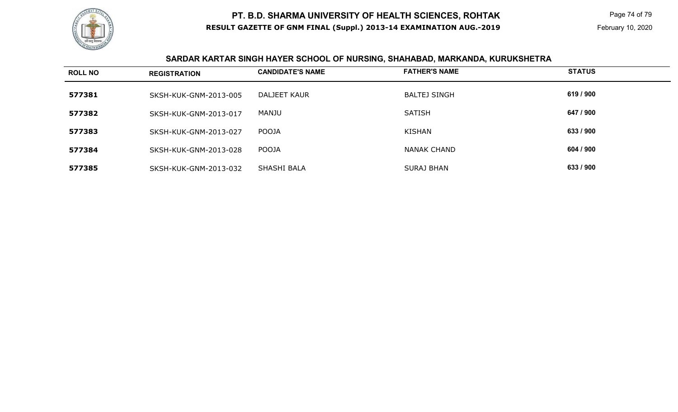

 Page 74 of 79 February 10, 2020

# **SARDAR KARTAR SINGH HAYER SCHOOL OF NURSING, SHAHABAD, MARKANDA, KURUKSHETRA**

| <b>ROLL NO</b> | <b>REGISTRATION</b>   | <b>CANDIDATE'S NAME</b> | <b>FATHER'S NAME</b> | <b>STATUS</b> |
|----------------|-----------------------|-------------------------|----------------------|---------------|
| 577381         | SKSH-KUK-GNM-2013-005 | <b>DALJEET KAUR</b>     | <b>BALTEJ SINGH</b>  | 619 / 900     |
| 577382         | SKSH-KUK-GNM-2013-017 | MANJU                   | <b>SATISH</b>        | 647 / 900     |
| 577383         | SKSH-KUK-GNM-2013-027 | POOJA                   | <b>KISHAN</b>        | 633 / 900     |
| 577384         | SKSH-KUK-GNM-2013-028 | POOJA                   | <b>NANAK CHAND</b>   | 604 / 900     |
| 577385         | SKSH-KUK-GNM-2013-032 | SHASHI BALA             | <b>SURAJ BHAN</b>    | 633 / 900     |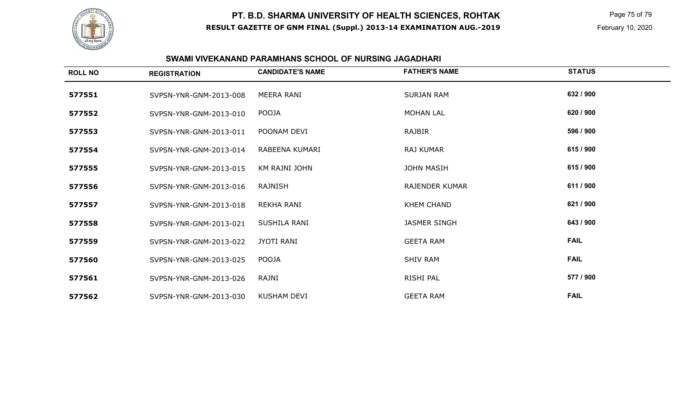

 Page 75 of 79 February 10, 2020

### **SWAMI VIVEKANAND PARAMHANS SCHOOL OF NURSING JAGADHARI**

| <b>ROLL NO</b> | <b>REGISTRATION</b>    | <b>CANDIDATE'S NAME</b> | <b>FATHER'S NAME</b>  | <b>STATUS</b> |
|----------------|------------------------|-------------------------|-----------------------|---------------|
| 577551         | SVPSN-YNR-GNM-2013-008 | MEERA RANI              | <b>SURJAN RAM</b>     | 632 / 900     |
| 577552         | SVPSN-YNR-GNM-2013-010 | POOJA                   | <b>MOHAN LAL</b>      | 620 / 900     |
| 577553         | SVPSN-YNR-GNM-2013-011 | POONAM DEVI             | <b>RAJBIR</b>         | 596 / 900     |
| 577554         | SVPSN-YNR-GNM-2013-014 | RABEENA KUMARI          | RAJ KUMAR             | 615 / 900     |
| 577555         | SVPSN-YNR-GNM-2013-015 | KM RAJNI JOHN           | <b>JOHN MASIH</b>     | 615 / 900     |
| 577556         | SVPSN-YNR-GNM-2013-016 | <b>RAJNISH</b>          | <b>RAJENDER KUMAR</b> | 611 / 900     |
| 577557         | SVPSN-YNR-GNM-2013-018 | <b>REKHA RANI</b>       | <b>KHEM CHAND</b>     | 621 / 900     |
| 577558         | SVPSN-YNR-GNM-2013-021 | SUSHILA RANI            | <b>JASMER SINGH</b>   | 643 / 900     |
| 577559         | SVPSN-YNR-GNM-2013-022 | <b>JYOTI RANI</b>       | <b>GEETA RAM</b>      | <b>FAIL</b>   |
| 577560         | SVPSN-YNR-GNM-2013-025 | POOJA                   | <b>SHIV RAM</b>       | <b>FAIL</b>   |
| 577561         | SVPSN-YNR-GNM-2013-026 | RAJNI                   | RISHI PAL             | 577 / 900     |
| 577562         | SVPSN-YNR-GNM-2013-030 | <b>KUSHAM DEVI</b>      | <b>GEETA RAM</b>      | <b>FAIL</b>   |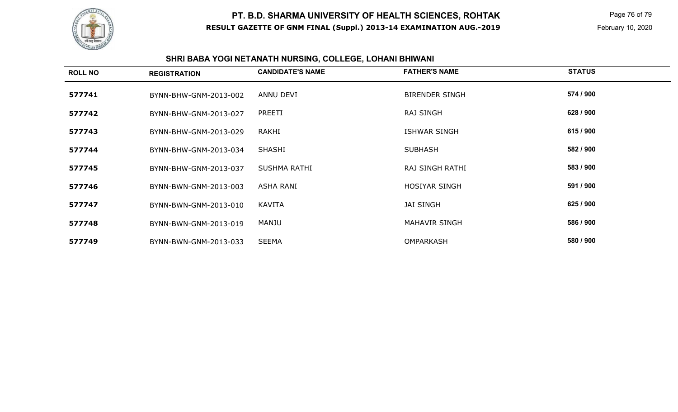

 Page 76 of 79 February 10, 2020

#### **SHRI BABA YOGI NETANATH NURSING, COLLEGE, LOHANI BHIWANI**

| <b>ROLL NO</b> | <b>REGISTRATION</b>   | <b>CANDIDATE'S NAME</b> | <b>FATHER'S NAME</b>  | <b>STATUS</b> |
|----------------|-----------------------|-------------------------|-----------------------|---------------|
| 577741         | BYNN-BHW-GNM-2013-002 | ANNU DEVI               | <b>BIRENDER SINGH</b> | 574 / 900     |
| 577742         | BYNN-BHW-GNM-2013-027 | PREETI                  | <b>RAJ SINGH</b>      | 628 / 900     |
| 577743         | BYNN-BHW-GNM-2013-029 | RAKHI                   | <b>ISHWAR SINGH</b>   | 615 / 900     |
| 577744         | BYNN-BHW-GNM-2013-034 | <b>SHASHI</b>           | <b>SUBHASH</b>        | 582 / 900     |
| 577745         | BYNN-BHW-GNM-2013-037 | SUSHMA RATHI            | RAJ SINGH RATHI       | 583 / 900     |
| 577746         | BYNN-BWN-GNM-2013-003 | <b>ASHA RANI</b>        | <b>HOSIYAR SINGH</b>  | 591 / 900     |
| 577747         | BYNN-BWN-GNM-2013-010 | KAVITA                  | <b>JAI SINGH</b>      | 625 / 900     |
| 577748         | BYNN-BWN-GNM-2013-019 | MANJU                   | <b>MAHAVIR SINGH</b>  | 586 / 900     |
| 577749         | BYNN-BWN-GNM-2013-033 | <b>SEEMA</b>            | <b>OMPARKASH</b>      | 580 / 900     |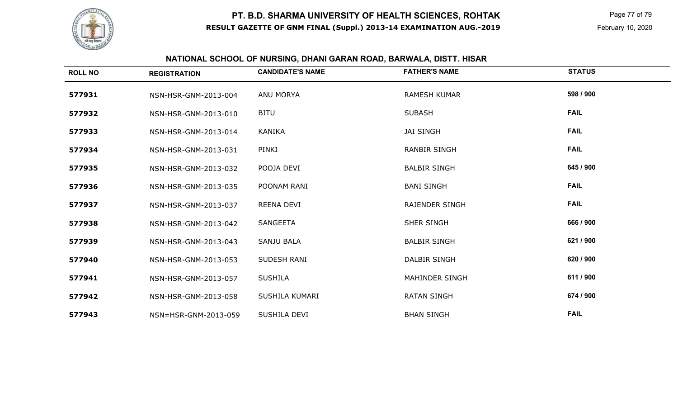

 Page 77 of 79 February 10, 2020

# **NATIONAL SCHOOL OF NURSING, DHANI GARAN ROAD, BARWALA, DISTT. HISAR**

| <b>ROLL NO</b> | <b>REGISTRATION</b>  | <b>CANDIDATE'S NAME</b> | <b>FATHER'S NAME</b>  | <b>STATUS</b> |
|----------------|----------------------|-------------------------|-----------------------|---------------|
| 577931         | NSN-HSR-GNM-2013-004 | ANU MORYA               | <b>RAMESH KUMAR</b>   | 598 / 900     |
| 577932         | NSN-HSR-GNM-2013-010 | <b>BITU</b>             | <b>SUBASH</b>         | <b>FAIL</b>   |
| 577933         | NSN-HSR-GNM-2013-014 | <b>KANIKA</b>           | <b>JAI SINGH</b>      | <b>FAIL</b>   |
| 577934         | NSN-HSR-GNM-2013-031 | PINKI                   | <b>RANBIR SINGH</b>   | <b>FAIL</b>   |
| 577935         | NSN-HSR-GNM-2013-032 | POOJA DEVI              | <b>BALBIR SINGH</b>   | 645 / 900     |
| 577936         | NSN-HSR-GNM-2013-035 | POONAM RANI             | <b>BANI SINGH</b>     | <b>FAIL</b>   |
| 577937         | NSN-HSR-GNM-2013-037 | REENA DEVI              | <b>RAJENDER SINGH</b> | <b>FAIL</b>   |
| 577938         | NSN-HSR-GNM-2013-042 | SANGEETA                | SHER SINGH            | 666 / 900     |
| 577939         | NSN-HSR-GNM-2013-043 | <b>SANJU BALA</b>       | <b>BALBIR SINGH</b>   | 621 / 900     |
| 577940         | NSN-HSR-GNM-2013-053 | SUDESH RANI             | <b>DALBIR SINGH</b>   | 620 / 900     |
| 577941         | NSN-HSR-GNM-2013-057 | <b>SUSHILA</b>          | <b>MAHINDER SINGH</b> | 611 / 900     |
| 577942         | NSN-HSR-GNM-2013-058 | SUSHILA KUMARI          | <b>RATAN SINGH</b>    | 674 / 900     |
| 577943         | NSN=HSR-GNM-2013-059 | SUSHILA DEVI            | <b>BHAN SINGH</b>     | <b>FAIL</b>   |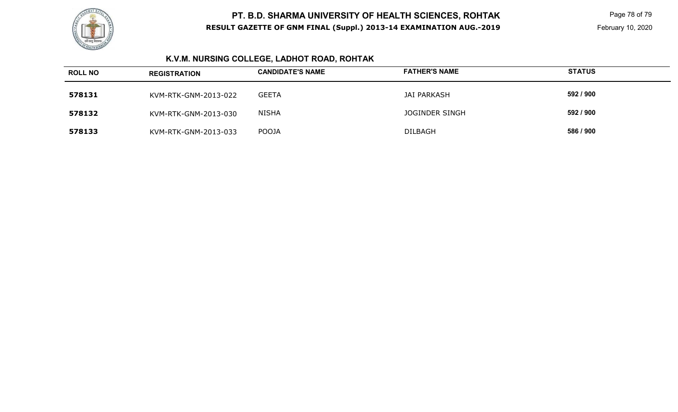

 Page 78 of 79 February 10, 2020

# **K.V.M. NURSING COLLEGE, LADHOT ROAD, ROHTAK**

| <b>ROLL NO</b> | <b>REGISTRATION</b>  | <b>CANDIDATE'S NAME</b> | <b>FATHER'S NAME</b> | <b>STATUS</b> |
|----------------|----------------------|-------------------------|----------------------|---------------|
| 578131         | KVM-RTK-GNM-2013-022 | <b>GEETA</b>            | JAI PARKASH          | 592 / 900     |
| 578132         | KVM-RTK-GNM-2013-030 | <b>NISHA</b>            | JOGINDER SINGH       | 592 / 900     |
| 578133         | KVM-RTK-GNM-2013-033 | <b>POOJA</b>            | <b>DILBAGH</b>       | 586 / 900     |